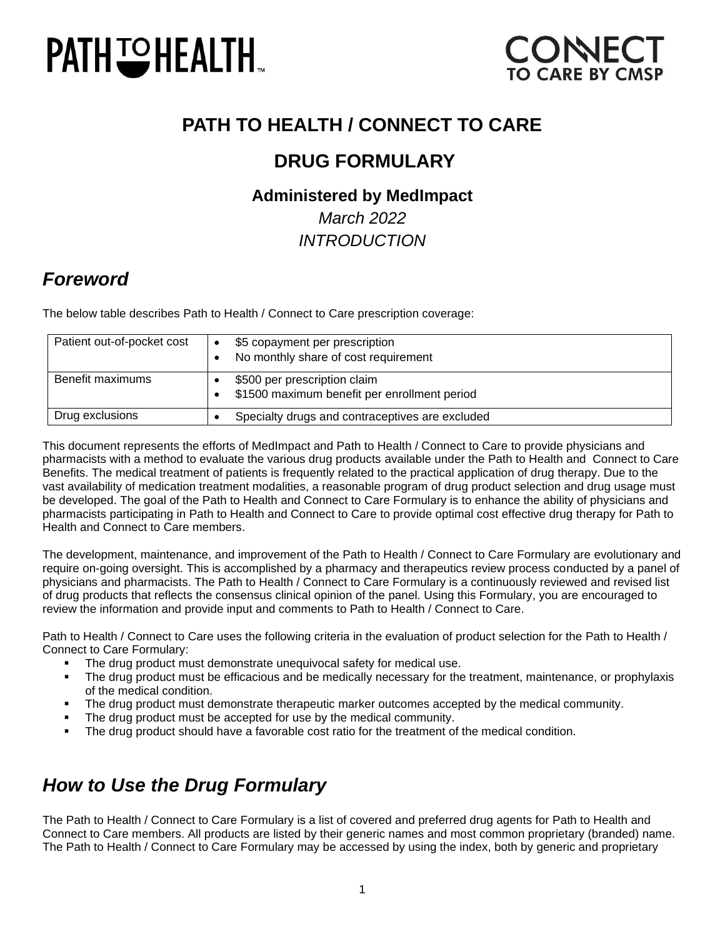# **PATH ISHEALTH.**



### **PATH TO HEALTH / CONNECT TO CARE**

### **DRUG FORMULARY**

### **Administered by MedImpact**

*March 2022 INTRODUCTION*

### *Foreword*

The below table describes Path to Health / Connect to Care prescription coverage:

| Patient out-of-pocket cost | \$5 copayment per prescription<br>$\bullet$<br>No monthly share of cost requirement |
|----------------------------|-------------------------------------------------------------------------------------|
| Benefit maximums           | \$500 per prescription claim<br>\$1500 maximum benefit per enrollment period        |
| Drug exclusions            | Specialty drugs and contraceptives are excluded                                     |

This document represents the efforts of MedImpact and Path to Health / Connect to Care to provide physicians and pharmacists with a method to evaluate the various drug products available under the Path to Health and Connect to Care Benefits. The medical treatment of patients is frequently related to the practical application of drug therapy. Due to the vast availability of medication treatment modalities, a reasonable program of drug product selection and drug usage must be developed. The goal of the Path to Health and Connect to Care Formulary is to enhance the ability of physicians and pharmacists participating in Path to Health and Connect to Care to provide optimal cost effective drug therapy for Path to Health and Connect to Care members.

The development, maintenance, and improvement of the Path to Health / Connect to Care Formulary are evolutionary and require on-going oversight. This is accomplished by a pharmacy and therapeutics review process conducted by a panel of physicians and pharmacists. The Path to Health / Connect to Care Formulary is a continuously reviewed and revised list of drug products that reflects the consensus clinical opinion of the panel. Using this Formulary, you are encouraged to review the information and provide input and comments to Path to Health / Connect to Care.

Path to Health / Connect to Care uses the following criteria in the evaluation of product selection for the Path to Health / Connect to Care Formulary:

- **•** The drug product must demonstrate unequivocal safety for medical use.
- The drug product must be efficacious and be medically necessary for the treatment, maintenance, or prophylaxis of the medical condition.
- The drug product must demonstrate therapeutic marker outcomes accepted by the medical community.
- The drug product must be accepted for use by the medical community.
- The drug product should have a favorable cost ratio for the treatment of the medical condition.

### *How to Use the Drug Formulary*

The Path to Health / Connect to Care Formulary is a list of covered and preferred drug agents for Path to Health and Connect to Care members. All products are listed by their generic names and most common proprietary (branded) name. The Path to Health / Connect to Care Formulary may be accessed by using the index, both by generic and proprietary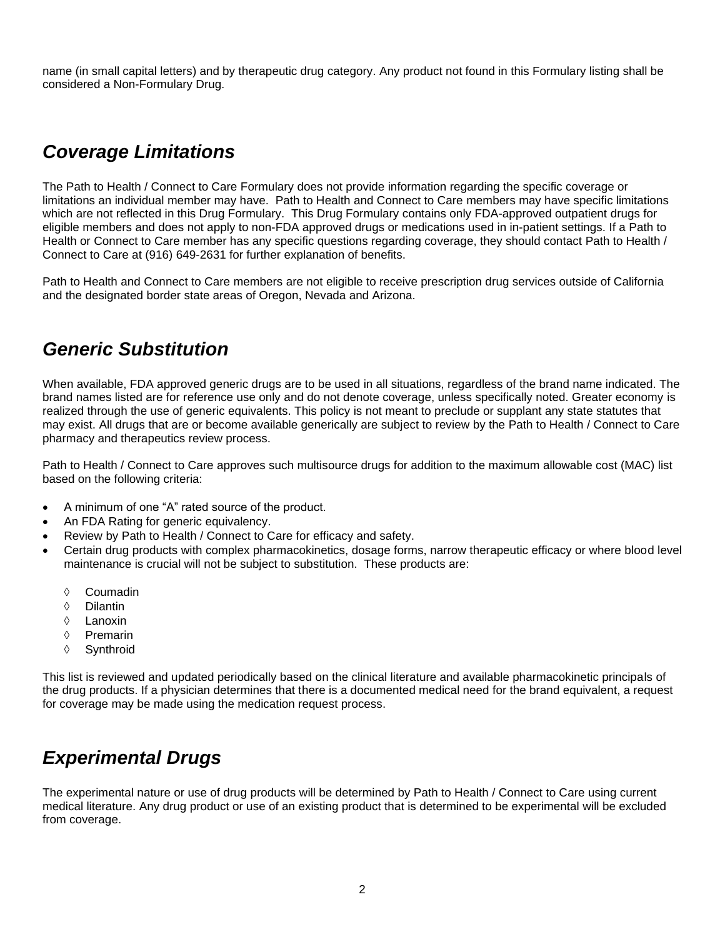name (in small capital letters) and by therapeutic drug category. Any product not found in this Formulary listing shall be considered a Non-Formulary Drug.

### *Coverage Limitations*

The Path to Health / Connect to Care Formulary does not provide information regarding the specific coverage or limitations an individual member may have. Path to Health and Connect to Care members may have specific limitations which are not reflected in this Drug Formulary. This Drug Formulary contains only FDA-approved outpatient drugs for eligible members and does not apply to non-FDA approved drugs or medications used in in-patient settings. If a Path to Health or Connect to Care member has any specific questions regarding coverage, they should contact Path to Health / Connect to Care at (916) 649-2631 for further explanation of benefits.

Path to Health and Connect to Care members are not eligible to receive prescription drug services outside of California and the designated border state areas of Oregon, Nevada and Arizona.

### *Generic Substitution*

When available, FDA approved generic drugs are to be used in all situations, regardless of the brand name indicated. The brand names listed are for reference use only and do not denote coverage, unless specifically noted. Greater economy is realized through the use of generic equivalents. This policy is not meant to preclude or supplant any state statutes that may exist. All drugs that are or become available generically are subject to review by the Path to Health / Connect to Care pharmacy and therapeutics review process.

Path to Health / Connect to Care approves such multisource drugs for addition to the maximum allowable cost (MAC) list based on the following criteria:

- A minimum of one "A" rated source of the product.
- An FDA Rating for generic equivalency.
- Review by Path to Health / Connect to Care for efficacy and safety.
- Certain drug products with complex pharmacokinetics, dosage forms, narrow therapeutic efficacy or where blood level maintenance is crucial will not be subject to substitution. These products are:
	- ♦ Coumadin
	- Dilantin
	- Lanoxin
	- $\Diamond$  Premarin
	- Synthroid

This list is reviewed and updated periodically based on the clinical literature and available pharmacokinetic principals of the drug products. If a physician determines that there is a documented medical need for the brand equivalent, a request for coverage may be made using the medication request process.

### *Experimental Drugs*

The experimental nature or use of drug products will be determined by Path to Health / Connect to Care using current medical literature. Any drug product or use of an existing product that is determined to be experimental will be excluded from coverage.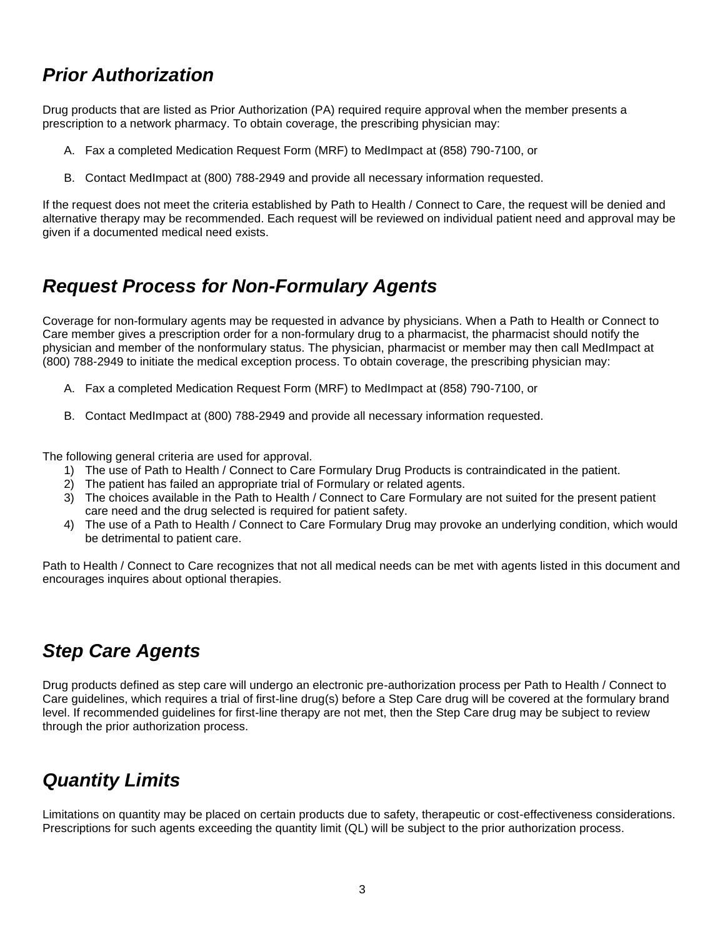### *Prior Authorization*

Drug products that are listed as Prior Authorization (PA) required require approval when the member presents a prescription to a network pharmacy. To obtain coverage, the prescribing physician may:

- A. Fax a completed Medication Request Form (MRF) to MedImpact at (858) 790-7100, or
- B. Contact MedImpact at (800) 788-2949 and provide all necessary information requested.

If the request does not meet the criteria established by Path to Health / Connect to Care, the request will be denied and alternative therapy may be recommended. Each request will be reviewed on individual patient need and approval may be given if a documented medical need exists.

### *Request Process for Non-Formulary Agents*

Coverage for non-formulary agents may be requested in advance by physicians. When a Path to Health or Connect to Care member gives a prescription order for a non-formulary drug to a pharmacist, the pharmacist should notify the physician and member of the nonformulary status. The physician, pharmacist or member may then call MedImpact at (800) 788-2949 to initiate the medical exception process. To obtain coverage, the prescribing physician may:

- A. Fax a completed Medication Request Form (MRF) to MedImpact at (858) 790-7100, or
- B. Contact MedImpact at (800) 788-2949 and provide all necessary information requested.

The following general criteria are used for approval.

- 1) The use of Path to Health / Connect to Care Formulary Drug Products is contraindicated in the patient.
- 2) The patient has failed an appropriate trial of Formulary or related agents.
- 3) The choices available in the Path to Health / Connect to Care Formulary are not suited for the present patient care need and the drug selected is required for patient safety.
- 4) The use of a Path to Health / Connect to Care Formulary Drug may provoke an underlying condition, which would be detrimental to patient care.

Path to Health / Connect to Care recognizes that not all medical needs can be met with agents listed in this document and encourages inquires about optional therapies.

### *Step Care Agents*

Drug products defined as step care will undergo an electronic pre-authorization process per Path to Health / Connect to Care guidelines, which requires a trial of first-line drug(s) before a Step Care drug will be covered at the formulary brand level. If recommended guidelines for first-line therapy are not met, then the Step Care drug may be subject to review through the prior authorization process.

### *Quantity Limits*

Limitations on quantity may be placed on certain products due to safety, therapeutic or cost-effectiveness considerations. Prescriptions for such agents exceeding the quantity limit (QL) will be subject to the prior authorization process.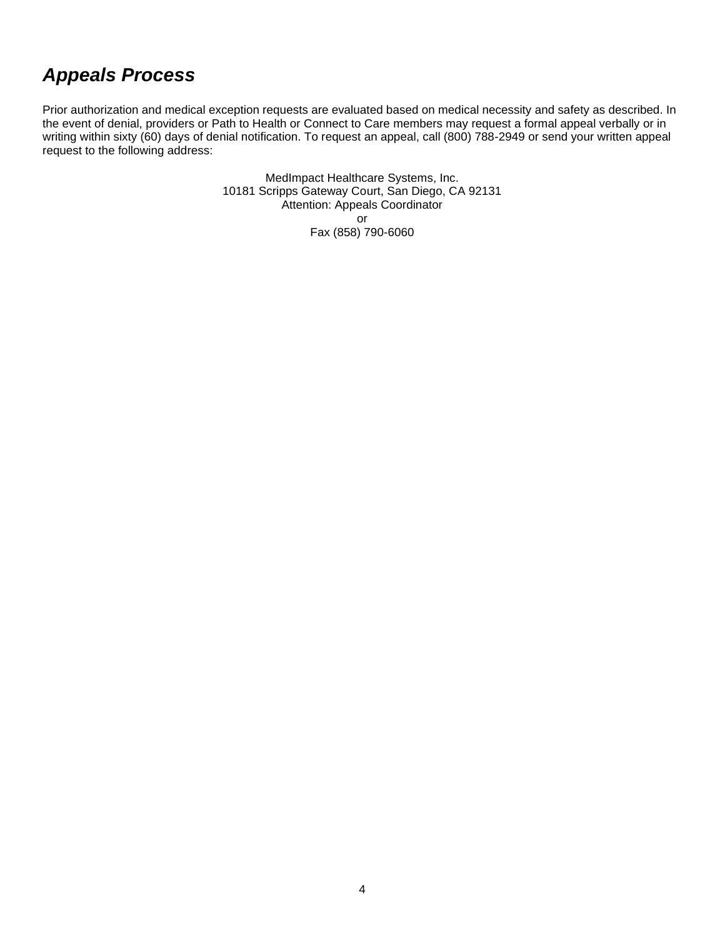### *Appeals Process*

Prior authorization and medical exception requests are evaluated based on medical necessity and safety as described. In the event of denial, providers or Path to Health or Connect to Care members may request a formal appeal verbally or in writing within sixty (60) days of denial notification. To request an appeal, call (800) 788-2949 or send your written appeal request to the following address:

> MedImpact Healthcare Systems, Inc. 10181 Scripps Gateway Court, San Diego, CA 92131 Attention: Appeals Coordinator or Fax (858) 790-6060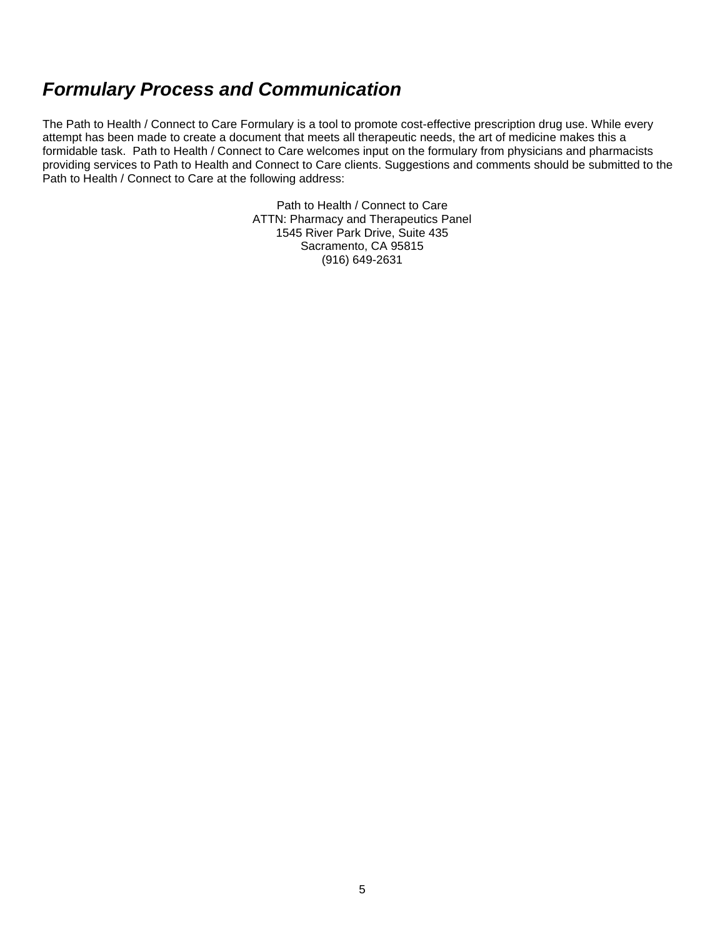### *Formulary Process and Communication*

The Path to Health / Connect to Care Formulary is a tool to promote cost-effective prescription drug use. While every attempt has been made to create a document that meets all therapeutic needs, the art of medicine makes this a formidable task. Path to Health / Connect to Care welcomes input on the formulary from physicians and pharmacists providing services to Path to Health and Connect to Care clients. Suggestions and comments should be submitted to the Path to Health / Connect to Care at the following address:

> Path to Health / Connect to Care ATTN: Pharmacy and Therapeutics Panel 1545 River Park Drive, Suite 435 Sacramento, CA 95815 (916) 649-2631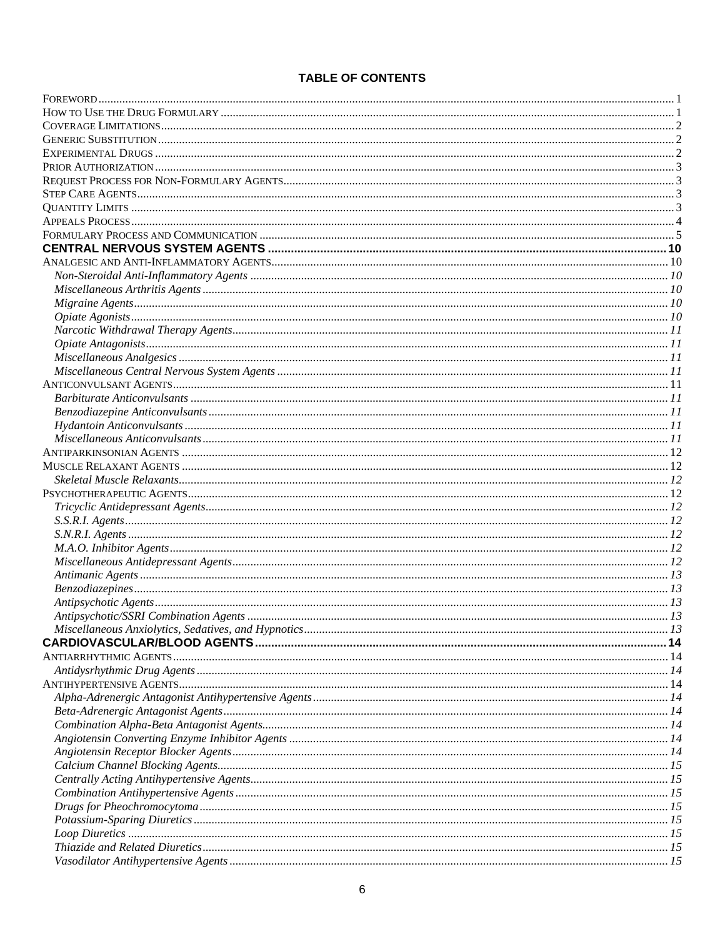#### **TABLE OF CONTENTS**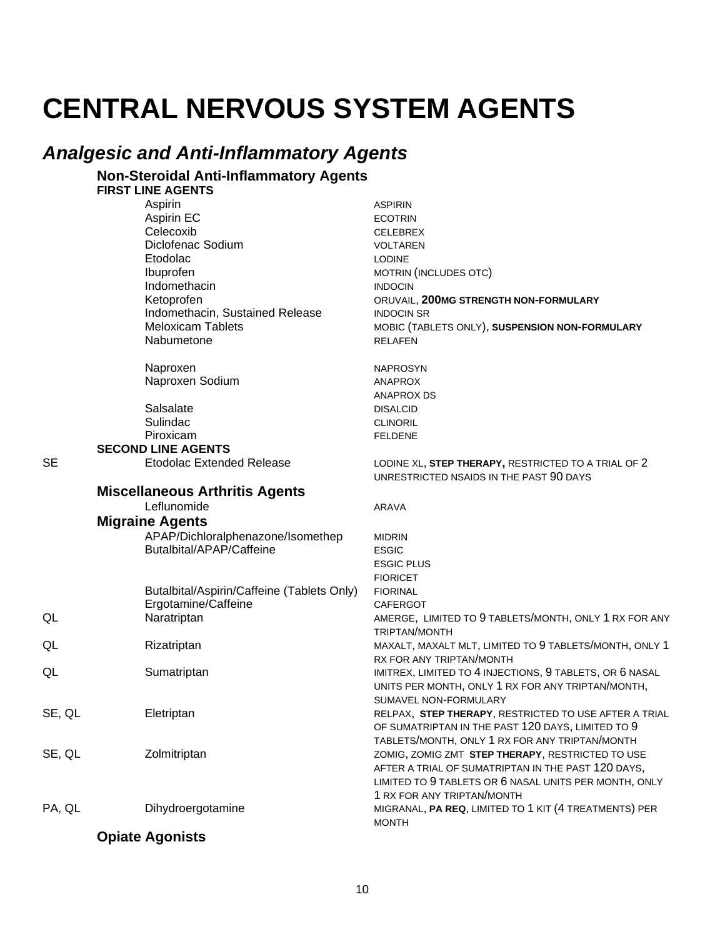# **CENTRAL NERVOUS SYSTEM AGENTS**

### **Analgesic and Anti-Inflammatory Agents**

#### **Non-Steroidal Anti-Inflammatory Agents FIRST LINE AGENTS**

Aspirin **ASPIRIN** Aspirin EC **ECOTRIN** Celecoxib **CELEBREX** Diclofenac Sodium **VOLTAREN** Etodolac **LODINE** Ibuprofen MOTRIN (INCLUDES OTC) Indomethacin **INDOCIN** Ketoprofen ORUVAIL, 200MG STRENGTH NON-FORMULARY Indomethacin, Sustained Release **INDOCIN SR Meloxicam Tablets** MOBIC (TABLETS ONLY), SUSPENSION NON-FORMULARY Nabumetone **RELAFEN** Naproxen **NAPROSYN** Naproxen Sodium **ANAPROX ANAPROX DS** Salsalate **DISALCID** Sulindac **CLINORIL** Piroxicam **FELDENE SECOND LINE AGENTS Etodolac Extended Release** LODINE XL, STEP THERAPY, RESTRICTED TO A TRIAL OF 2 UNRESTRICTED NSAIDS IN THE PAST 90 DAYS **Miscellaneous Arthritis Agents** Leflunomide **ARAVA Migraine Agents** APAP/Dichloralphenazone/Isomethep **MIDRIN Butalbital/APAP/Caffeine ESGIC ESGIC PLUS FIORICET** Butalbital/Aspirin/Caffeine (Tablets Only) **FIORINAL** Ergotamine/Caffeine CAFERGOT Naratriptan AMERGE, LIMITED TO 9 TABLETS/MONTH, ONLY 1 RX FOR ANY TRIPTAN/MONTH Rizatriptan MAXALT, MAXALT MLT, LIMITED TO 9 TABLETS/MONTH, ONLY 1 RX FOR ANY TRIPTAN/MONTH Sumatriptan IMITREX, LIMITED TO 4 INJECTIONS, 9 TABLETS, OR 6 NASAL UNITS PER MONTH, ONLY 1 RX FOR ANY TRIPTAN/MONTH, SUMAVEL NON-FORMULARY SE, QL RELPAX, STEP THERAPY, RESTRICTED TO USE AFTER A TRIAL Eletriptan OF SUMATRIPTAN IN THE PAST 120 DAYS, LIMITED TO 9 TABLETS/MONTH, ONLY 1 RX FOR ANY TRIPTAN/MONTH SE, QL Zolmitriptan ZOMIG, ZOMIG ZMT STEP THERAPY, RESTRICTED TO USE AFTER A TRIAL OF SUMATRIPTAN IN THE PAST 120 DAYS, LIMITED TO 9 TABLETS OR 6 NASAL UNITS PER MONTH, ONLY 1 RX FOR ANY TRIPTAN/MONTH PA, QL Dihydroergotamine MIGRANAL, PA REQ, LIMITED TO 1 KIT (4 TREATMENTS) PER **MONTH** 

#### **Opiate Agonists**

**SE** 

QL

QL

QL

 $10$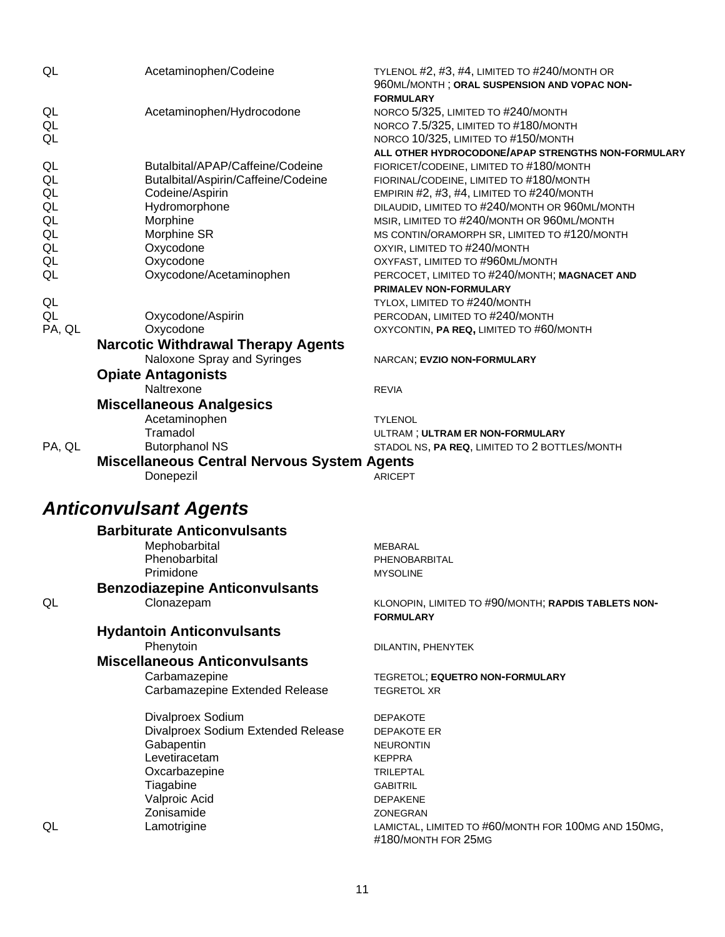| QL                 | Acetaminophen/Codeine                                                    | TYLENOL #2, #3, #4, LIMITED TO #240/MONTH OR<br>960ML/MONTH; ORAL SUSPENSION AND VOPAC NON-<br><b>FORMULARY</b>                                                         |
|--------------------|--------------------------------------------------------------------------|-------------------------------------------------------------------------------------------------------------------------------------------------------------------------|
| QL<br>QL<br>QL     | Acetaminophen/Hydrocodone                                                | NORCO 5/325, LIMITED TO #240/MONTH<br>NORCO 7.5/325, LIMITED TO #180/MONTH<br>NORCO 10/325, LIMITED TO #150/MONTH<br>ALL OTHER HYDROCODONE/APAP STRENGTHS NON-FORMULARY |
| QL<br>QL<br>QL     | Butalbital/APAP/Caffeine/Codeine<br>Butalbital/Aspirin/Caffeine/Codeine  | FIORICET/CODEINE, LIMITED TO #180/MONTH<br>FIORINAL/CODEINE, LIMITED TO #180/MONTH                                                                                      |
| QL<br>QL           | Codeine/Aspirin<br>Hydromorphone<br>Morphine                             | EMPIRIN #2, #3, #4, LIMITED TO #240/MONTH<br>DILAUDID, LIMITED TO #240/MONTH OR 960ML/MONTH<br>MSIR, LIMITED TO #240/MONTH OR 960ML/MONTH                               |
| QL<br>QL           | Morphine SR<br>Oxycodone                                                 | MS CONTIN/ORAMORPH SR, LIMITED TO #120/MONTH<br>OXYIR, LIMITED TO #240/MONTH                                                                                            |
| QL<br>QL           | Oxycodone<br>Oxycodone/Acetaminophen                                     | OXYFAST, LIMITED TO #960ML/MONTH<br>PERCOCET, LIMITED TO #240/MONTH; MAGNACET AND<br>PRIMALEV NON-FORMULARY                                                             |
| QL<br>QL<br>PA, QL | Oxycodone/Aspirin<br>Oxycodone                                           | TYLOX, LIMITED TO #240/MONTH<br>PERCODAN, LIMITED TO #240/MONTH<br>OXYCONTIN, PA REQ, LIMITED TO #60/MONTH                                                              |
|                    | <b>Narcotic Withdrawal Therapy Agents</b><br>Naloxone Spray and Syringes | NARCAN; EVZIO NON-FORMULARY                                                                                                                                             |
|                    | <b>Opiate Antagonists</b><br>Naltrexone                                  | <b>REVIA</b>                                                                                                                                                            |
|                    | <b>Miscellaneous Analgesics</b>                                          |                                                                                                                                                                         |
|                    | Acetaminophen                                                            | <b>TYLENOL</b>                                                                                                                                                          |
|                    | Tramadol                                                                 | ULTRAM; ULTRAM ER NON-FORMULARY                                                                                                                                         |
| PA, QL             | <b>Butorphanol NS</b>                                                    | STADOL NS, PA REQ, LIMITED TO 2 BOTTLES/MONTH                                                                                                                           |
|                    | <b>Miscellaneous Central Nervous System Agents</b>                       |                                                                                                                                                                         |
|                    | Donepezil                                                                | <b>ARICEPT</b>                                                                                                                                                          |
|                    | <b>Anticonvulsant Agents</b>                                             |                                                                                                                                                                         |
|                    | <b>Barbiturate Anticonvulsants</b>                                       |                                                                                                                                                                         |
|                    | Mephobarbital                                                            | MEBARAL                                                                                                                                                                 |
|                    | Phenobarbital                                                            | PHENOBARBITAL                                                                                                                                                           |
|                    | Primidone<br><b>Benzodiazepine Anticonvulsants</b>                       | <b>MYSOLINE</b>                                                                                                                                                         |
| QL                 | Clonazepam                                                               | KLONOPIN, LIMITED TO #90/MONTH; RAPDIS TABLETS NON-                                                                                                                     |
|                    |                                                                          | <b>FORMULARY</b>                                                                                                                                                        |
|                    | <b>Hydantoin Anticonvulsants</b>                                         |                                                                                                                                                                         |
|                    | Phenytoin                                                                | DILANTIN, PHENYTEK                                                                                                                                                      |
|                    | <b>Miscellaneous Anticonvulsants</b>                                     |                                                                                                                                                                         |
|                    | Carbamazepine                                                            | TEGRETOL; EQUETRO NON-FORMULARY                                                                                                                                         |
|                    | Carbamazepine Extended Release                                           | <b>TEGRETOL XR</b>                                                                                                                                                      |
|                    | Divalproex Sodium                                                        | <b>DEPAKOTE</b>                                                                                                                                                         |
|                    | Divalproex Sodium Extended Release                                       | <b>DEPAKOTE ER</b>                                                                                                                                                      |
|                    | Gabapentin                                                               | <b>NEURONTIN</b>                                                                                                                                                        |
|                    | Levetiracetam                                                            | <b>KEPPRA</b>                                                                                                                                                           |
|                    | Oxcarbazepine                                                            | <b>TRILEPTAL</b>                                                                                                                                                        |
|                    | Tiagabine                                                                | <b>GABITRIL</b>                                                                                                                                                         |
|                    | Valproic Acid                                                            | <b>DEPAKENE</b>                                                                                                                                                         |
|                    | Zonisamide                                                               | ZONEGRAN                                                                                                                                                                |
| QL                 | Lamotrigine                                                              | LAMICTAL, LIMITED TO #60/MONTH FOR 100MG AND 150MG,<br>#180/MONTH FOR 25MG                                                                                              |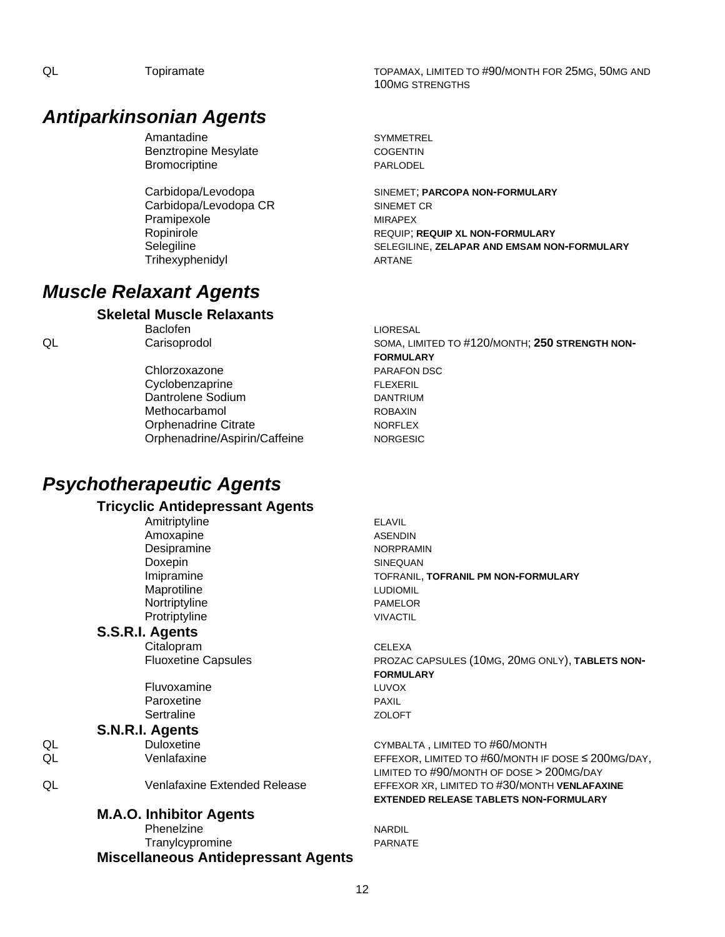### *Antiparkinsonian Agents*

Amantadine SYMMETREL Benztropine Mesylate COGENTIN Bromocriptine **PARLODEL** 

Carbidopa/Levodopa CR SINEMET CR Pramipexole MIRAPEX Trihexyphenidyl **ARTANE** 

### *Muscle Relaxant Agents*

#### **Skeletal Muscle Relaxants**

Chlorzoxazone **PARAFON DSC** 

Cyclobenzaprine FLEXERIL Dantrolene Sodium DANTRIUM Methocarbamol ROBAXIN Orphenadrine Citrate NORFLEX Orphenadrine/Aspirin/Caffeine NORGESIC

### *Psychotherapeutic Agents*

#### **Tricyclic Antidepressant Agents**

Amitriptyline ELAVIL Amoxapine ASENDIN Desipramine NORPRAMIN Doxepin SINEQUAN Maprotiline LUDIOMIL Nortriptyline **PAMELOR** Protriptyline VIVACTIL

#### **S.S.R.I. Agents**

Citalopram CELEXA

Fluvoxamine LUVOX Paroxetine **PAXIL** Sertraline ZOLOFT

**S.N.R.I. Agents**

#### **M.A.O. Inhibitor Agents**

Phenelzine NARDIL Tranylcypromine **PARNATE Miscellaneous Antidepressant Agents**

QL Topiramate TOPAMAX, LIMITED TO #90/MONTH FOR 25MG, 50MG AND 100MG STRENGTHS

Carbidopa/Levodopa SINEMET; **PARCOPA NON-FORMULARY** Ropinirole REQUIP; **REQUIP XL NON-FORMULARY** Selegiline SELEGILINE, **ZELAPAR AND EMSAM NON-FORMULARY**

Baclofen **LIORESAL** QL Carisoprodol Carisoprodol SOMA, LIMITED TO #120/MONTH; 250 STRENGTH NON-**FORMULARY**

Imipramine TOFRANIL, **TOFRANIL PM NON-FORMULARY**

Fluoxetine Capsules **PROZAC CAPSULES (10MG, 20MG ONLY), TABLETS NON-FORMULARY**

QL Duloxetine CYMBALTA, LIMITED TO #60/MONTH QL Venlafaxine EFFEXOR, LIMITED TO #60/MONTH IF DOSE ≤ 200MG/DAY, LIMITED TO #90/MONTH OF DOSE > 200MG/DAY QL Venlafaxine Extended Release EFFEXOR XR, LIMITED TO #30/MONTH **VENLAFAXINE EXTENDED RELEASE TABLETS NON-FORMULARY**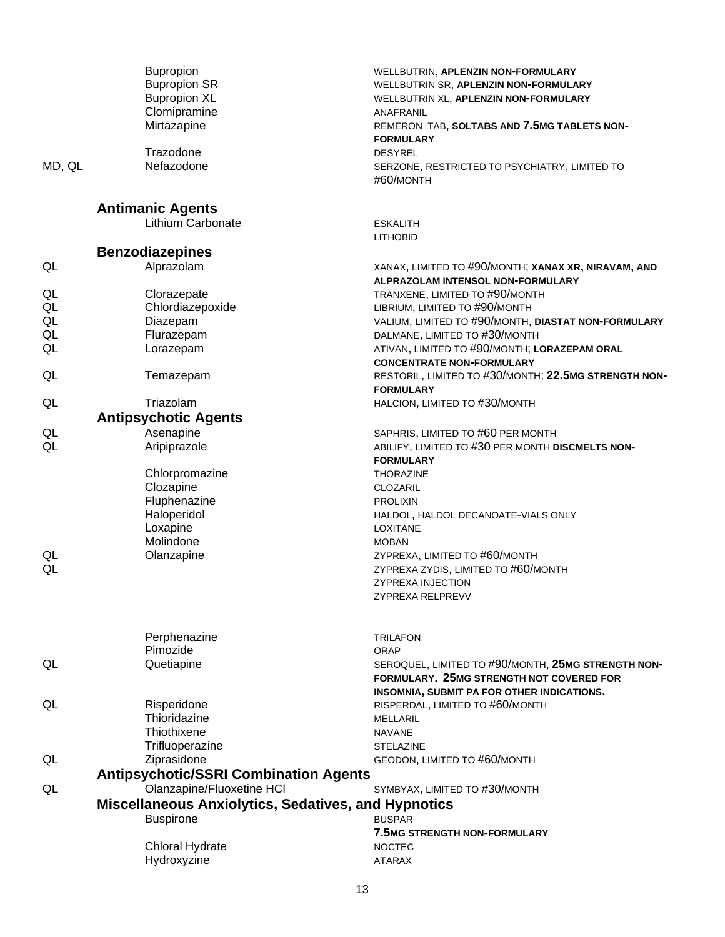|        | <b>Bupropion</b>                                           | WELLBUTRIN, APLENZIN NON-FORMULARY                         |
|--------|------------------------------------------------------------|------------------------------------------------------------|
|        | <b>Bupropion SR</b>                                        | WELLBUTRIN SR, APLENZIN NON-FORMULARY                      |
|        | <b>Bupropion XL</b>                                        | WELLBUTRIN XL, APLENZIN NON-FORMULARY                      |
|        | Clomipramine                                               | ANAFRANIL                                                  |
|        | Mirtazapine                                                | REMERON TAB, SOLTABS AND 7.5MG TABLETS NON-                |
|        |                                                            | <b>FORMULARY</b>                                           |
|        | Trazodone                                                  | <b>DESYREL</b>                                             |
| MD, QL | Nefazodone                                                 | SERZONE, RESTRICTED TO PSYCHIATRY, LIMITED TO<br>#60/MONTH |
|        |                                                            |                                                            |
|        | <b>Antimanic Agents</b>                                    |                                                            |
|        | Lithium Carbonate                                          | <b>ESKALITH</b>                                            |
|        |                                                            | <b>LITHOBID</b>                                            |
|        | <b>Benzodiazepines</b>                                     |                                                            |
| QL     | Alprazolam                                                 | XANAX, LIMITED TO #90/MONTH; XANAX XR, NIRAVAM, AND        |
|        |                                                            | ALPRAZOLAM INTENSOL NON-FORMULARY                          |
| QL     | Clorazepate                                                | TRANXENE, LIMITED TO #90/MONTH                             |
| QL     | Chlordiazepoxide                                           | LIBRIUM, LIMITED TO #90/MONTH                              |
| QL     | Diazepam                                                   | VALIUM, LIMITED TO #90/MONTH, DIASTAT NON-FORMULARY        |
| QL     | Flurazepam                                                 | DALMANE, LIMITED TO #30/MONTH                              |
| QL     | Lorazepam                                                  | ATIVAN, LIMITED TO #90/MONTH; LORAZEPAM ORAL               |
|        |                                                            | <b>CONCENTRATE NON-FORMULARY</b>                           |
| QL     | Temazepam                                                  | RESTORIL, LIMITED TO #30/MONTH; 22.5MG STRENGTH NON-       |
|        |                                                            | <b>FORMULARY</b>                                           |
| QL     | Triazolam                                                  | HALCION, LIMITED TO #30/MONTH                              |
|        | <b>Antipsychotic Agents</b>                                |                                                            |
| QL     | Asenapine                                                  | SAPHRIS, LIMITED TO #60 PER MONTH                          |
| QL     | Aripiprazole                                               | ABILIFY, LIMITED TO #30 PER MONTH DISCMELTS NON-           |
|        |                                                            | <b>FORMULARY</b>                                           |
|        | Chlorpromazine                                             | <b>THORAZINE</b>                                           |
|        | Clozapine                                                  | CLOZARIL                                                   |
|        | Fluphenazine                                               | <b>PROLIXIN</b>                                            |
|        | Haloperidol                                                | HALDOL, HALDOL DECANOATE-VIALS ONLY                        |
|        | Loxapine                                                   | <b>LOXITANE</b>                                            |
|        | Molindone                                                  | <b>MOBAN</b>                                               |
| QL     | Olanzapine                                                 | ZYPREXA, LIMITED TO #60/MONTH                              |
| QL     |                                                            | ZYPREXA ZYDIS, LIMITED TO #60/MONTH                        |
|        |                                                            | <b>ZYPREXA INJECTION</b>                                   |
|        |                                                            | ZYPREXA RELPREVV                                           |
|        |                                                            |                                                            |
|        |                                                            |                                                            |
|        | Perphenazine                                               | <b>TRILAFON</b>                                            |
|        | Pimozide                                                   | <b>ORAP</b>                                                |
| QL     | Quetiapine                                                 | SEROQUEL, LIMITED TO #90/MONTH, 25MG STRENGTH NON-         |
|        |                                                            | FORMULARY. 25MG STRENGTH NOT COVERED FOR                   |
|        |                                                            | INSOMNIA, SUBMIT PA FOR OTHER INDICATIONS.                 |
| QL     | Risperidone                                                | RISPERDAL, LIMITED TO #60/MONTH                            |
|        | Thioridazine                                               | <b>MELLARIL</b>                                            |
|        | Thiothixene                                                | <b>NAVANE</b>                                              |
|        | Trifluoperazine                                            | <b>STELAZINE</b>                                           |
| QL     | Ziprasidone                                                | GEODON, LIMITED TO #60/MONTH                               |
|        | <b>Antipsychotic/SSRI Combination Agents</b>               |                                                            |
| QL     | Olanzapine/Fluoxetine HCI                                  | SYMBYAX, LIMITED TO #30/MONTH                              |
|        | <b>Miscellaneous Anxiolytics, Sedatives, and Hypnotics</b> |                                                            |
|        | <b>Buspirone</b>                                           | <b>BUSPAR</b>                                              |
|        |                                                            | <b>7.5MG STRENGTH NON-FORMULARY</b>                        |
|        | <b>Chloral Hydrate</b>                                     | <b>NOCTEC</b>                                              |
|        | Hydroxyzine                                                | <b>ATARAX</b>                                              |
|        |                                                            |                                                            |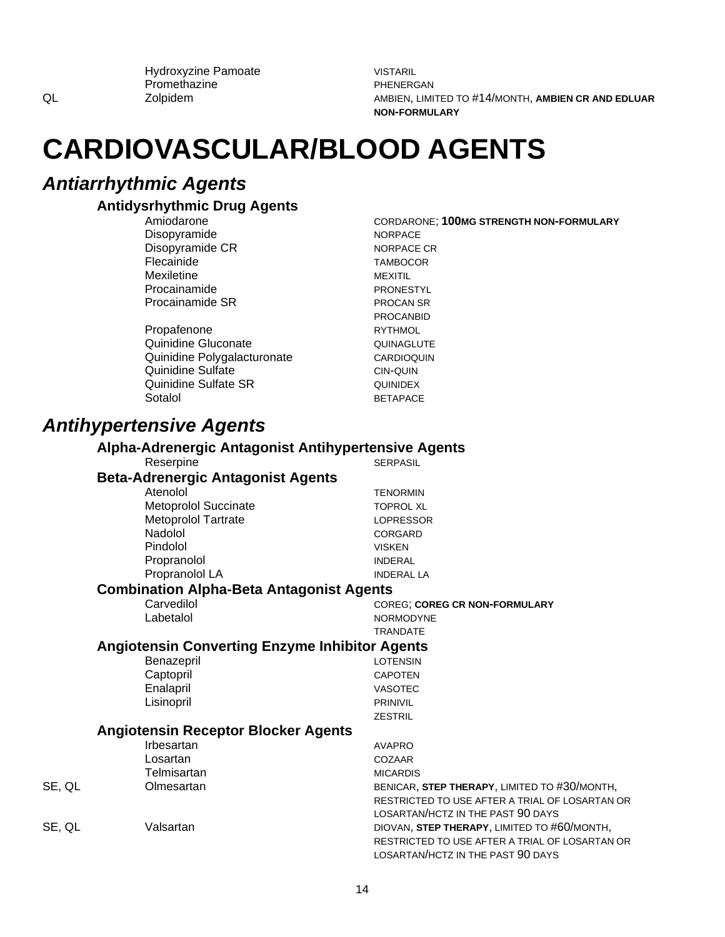Hydroxyzine Pamoate Promethazine Zolpidem

**VISTARIL** PHENERGAN AMBIEN, LIMITED TO #14/MONTH, AMBIEN CR AND EDLUAR **NON-FORMULARY** 

## **CARDIOVASCULAR/BLOOD AGENTS**

### **Antiarrhythmic Agents**

QL

#### **Antidysrhythmic Drug Agents**

Amiodarone Disopyramide Disopyramide CR Flecainide Mexiletine Procainamide Procainamide SR

Propafenone Quinidine Gluconate Quinidine Polygalacturonate Quinidine Sulfate **Quinidine Sulfate SR** Sotalol

**CORDARONE: 100MG STRENGTH NON-FORMULARY NORPACE NORPACE CR TAMBOCOR MEXITIL** PRONESTYL **PROCAN SR PROCANBID RYTHMOL** QUINAGLUTE CARDIOQUIN CIN-QUIN QUINIDEX **BETAPACE** 

### **Antihypertensive Agents**

Reserpine

Carvedilol

Labetalol

#### **Alpha-Adrenergic Antagonist Antihypertensive Agents**

| <b>Beta-Adrenergic Antagonist Agents</b> |  |
|------------------------------------------|--|
| Atenolol                                 |  |
| <b>Metoprolol Succinate</b>              |  |
| <b>Metoprolol Tartrate</b>               |  |
| Nadolol                                  |  |
| Pindolol                                 |  |
| Propranolol                              |  |
| Propranolol LA                           |  |

**TENORMIN TOPROL XL LOPRESSOR** CORGARD **VISKEN INDERAL INDERAL LA** 

**SERPASIL** 

#### **Combination Alpha-Beta Antagonist Agents**

**COREG; COREG CR NON-FORMULARY** NORMODYNE **TRANDATE** 

#### **Angiotensin Converting Enzyme Inhibitor Agents**

| Benazepril | LOTENSIN        |
|------------|-----------------|
| Captopril  | <b>CAPOTEN</b>  |
| Enalapril  | <b>VASOTEC</b>  |
| Lisinopril | <b>PRINIVIL</b> |
|            | <b>ZESTRIL</b>  |

#### **Angiotensin Receptor Blocker Agents**

|        | Irbesartan  | <b>AVAPRO</b>                                  |
|--------|-------------|------------------------------------------------|
|        | Losartan    | COZAAR                                         |
|        | Telmisartan | <b>MICARDIS</b>                                |
| SE, QL | Olmesartan  | BENICAR, STEP THERAPY, LIMITED TO #30/MONTH,   |
|        |             | RESTRICTED TO USE AFTER A TRIAL OF LOSARTAN OR |
|        |             | LOSARTAN/HCTZ IN THE PAST 90 DAYS              |
| SE, QL | Valsartan   | DIOVAN, STEP THERAPY, LIMITED TO #60/MONTH,    |
|        |             | RESTRICTED TO USE AFTER A TRIAL OF LOSARTAN OR |
|        |             | LOSARTAN/HCTZ IN THE PAST 90 DAYS              |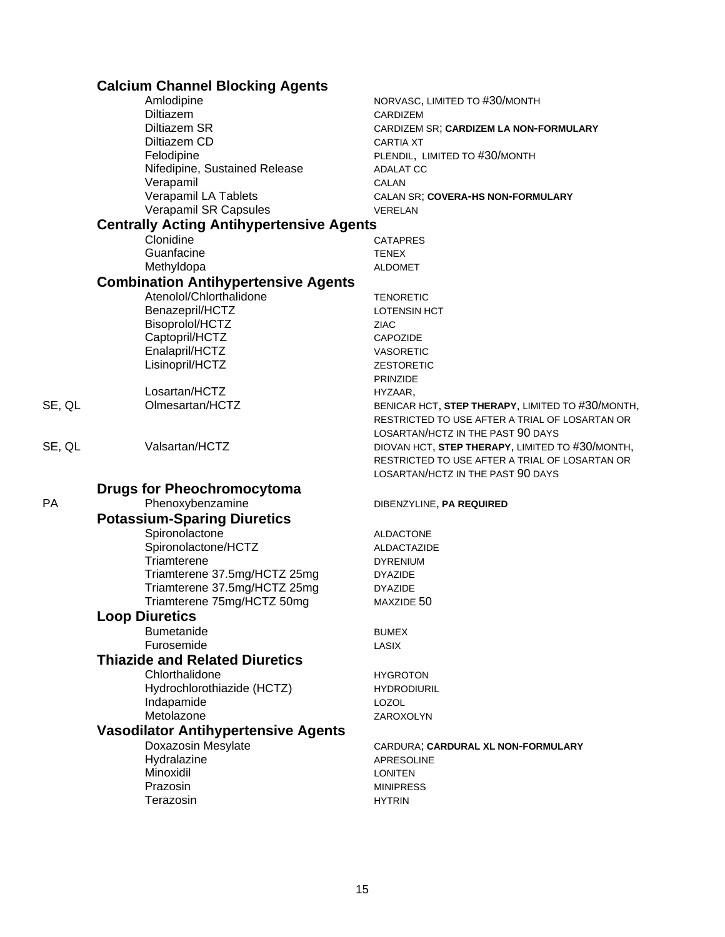| Amlodipine<br>NORVASC, LIMITED TO #30/MONTH<br>Diltiazem<br>CARDIZEM<br>Diltiazem SR<br>CARDIZEM SR; CARDIZEM LA NON-FORMULARY<br>Diltiazem CD<br><b>CARTIA XT</b><br>Felodipine<br>PLENDIL, LIMITED TO #30/MONTH |  |
|-------------------------------------------------------------------------------------------------------------------------------------------------------------------------------------------------------------------|--|
|                                                                                                                                                                                                                   |  |
|                                                                                                                                                                                                                   |  |
|                                                                                                                                                                                                                   |  |
|                                                                                                                                                                                                                   |  |
|                                                                                                                                                                                                                   |  |
| Nifedipine, Sustained Release<br><b>ADALAT CC</b>                                                                                                                                                                 |  |
| Verapamil<br>CALAN                                                                                                                                                                                                |  |
| Verapamil LA Tablets<br>CALAN SR; COVERA-HS NON-FORMULARY                                                                                                                                                         |  |
| Verapamil SR Capsules<br>VERELAN                                                                                                                                                                                  |  |
| <b>Centrally Acting Antihypertensive Agents</b>                                                                                                                                                                   |  |
| Clonidine<br><b>CATAPRES</b>                                                                                                                                                                                      |  |
| Guanfacine<br><b>TENEX</b>                                                                                                                                                                                        |  |
| Methyldopa<br><b>ALDOMET</b>                                                                                                                                                                                      |  |
| <b>Combination Antihypertensive Agents</b>                                                                                                                                                                        |  |
| Atenolol/Chlorthalidone<br><b>TENORETIC</b>                                                                                                                                                                       |  |
| Benazepril/HCTZ<br><b>LOTENSIN HCT</b>                                                                                                                                                                            |  |
| Bisoprolol/HCTZ<br>ZIAC                                                                                                                                                                                           |  |
| Captopril/HCTZ<br><b>CAPOZIDE</b>                                                                                                                                                                                 |  |
| Enalapril/HCTZ<br><b>VASORETIC</b>                                                                                                                                                                                |  |
| Lisinopril/HCTZ<br><b>ZESTORETIC</b>                                                                                                                                                                              |  |
| <b>PRINZIDE</b>                                                                                                                                                                                                   |  |
| Losartan/HCTZ<br>HYZAAR,                                                                                                                                                                                          |  |
| SE, QL<br>Olmesartan/HCTZ<br>BENICAR HCT, STEP THERAPY, LIMITED TO #30/MONTH,                                                                                                                                     |  |
| RESTRICTED TO USE AFTER A TRIAL OF LOSARTAN OR                                                                                                                                                                    |  |
| LOSARTAN/HCTZ IN THE PAST 90 DAYS                                                                                                                                                                                 |  |
| Valsartan/HCTZ<br>SE, QL<br>DIOVAN HCT, STEP THERAPY, LIMITED TO #30/MONTH,                                                                                                                                       |  |
| RESTRICTED TO USE AFTER A TRIAL OF LOSARTAN OR                                                                                                                                                                    |  |
| LOSARTAN/HCTZ IN THE PAST 90 DAYS                                                                                                                                                                                 |  |
| <b>Drugs for Pheochromocytoma</b>                                                                                                                                                                                 |  |
| Phenoxybenzamine<br><b>PA</b><br>DIBENZYLINE, PA REQUIRED                                                                                                                                                         |  |
|                                                                                                                                                                                                                   |  |
| <b>Potassium-Sparing Diuretics</b>                                                                                                                                                                                |  |
| Spironolactone<br><b>ALDACTONE</b>                                                                                                                                                                                |  |
| Spironolactone/HCTZ<br>ALDACTAZIDE                                                                                                                                                                                |  |
| Triamterene<br><b>DYRENIUM</b>                                                                                                                                                                                    |  |
| Triamterene 37.5mg/HCTZ 25mg<br><b>DYAZIDE</b>                                                                                                                                                                    |  |
| Triamterene 37.5mg/HCTZ 25mg<br><b>DYAZIDE</b>                                                                                                                                                                    |  |
| Triamterene 75mg/HCTZ 50mg<br>MAXZIDE 50                                                                                                                                                                          |  |
| <b>Loop Diuretics</b>                                                                                                                                                                                             |  |
| <b>Bumetanide</b><br><b>BUMEX</b>                                                                                                                                                                                 |  |
| Furosemide<br>LASIX                                                                                                                                                                                               |  |
| <b>Thiazide and Related Diuretics</b>                                                                                                                                                                             |  |
| Chlorthalidone<br><b>HYGROTON</b>                                                                                                                                                                                 |  |
| Hydrochlorothiazide (HCTZ)<br><b>HYDRODIURIL</b>                                                                                                                                                                  |  |
| Indapamide<br>LOZOL                                                                                                                                                                                               |  |
| Metolazone<br>ZAROXOLYN                                                                                                                                                                                           |  |
|                                                                                                                                                                                                                   |  |
| <b>Vasodilator Antihypertensive Agents</b>                                                                                                                                                                        |  |
| Doxazosin Mesylate<br>CARDURA; CARDURAL XL NON-FORMULARY                                                                                                                                                          |  |
| Hydralazine<br><b>APRESOLINE</b>                                                                                                                                                                                  |  |
| Minoxidil<br><b>LONITEN</b>                                                                                                                                                                                       |  |
| Prazosin<br><b>MINIPRESS</b>                                                                                                                                                                                      |  |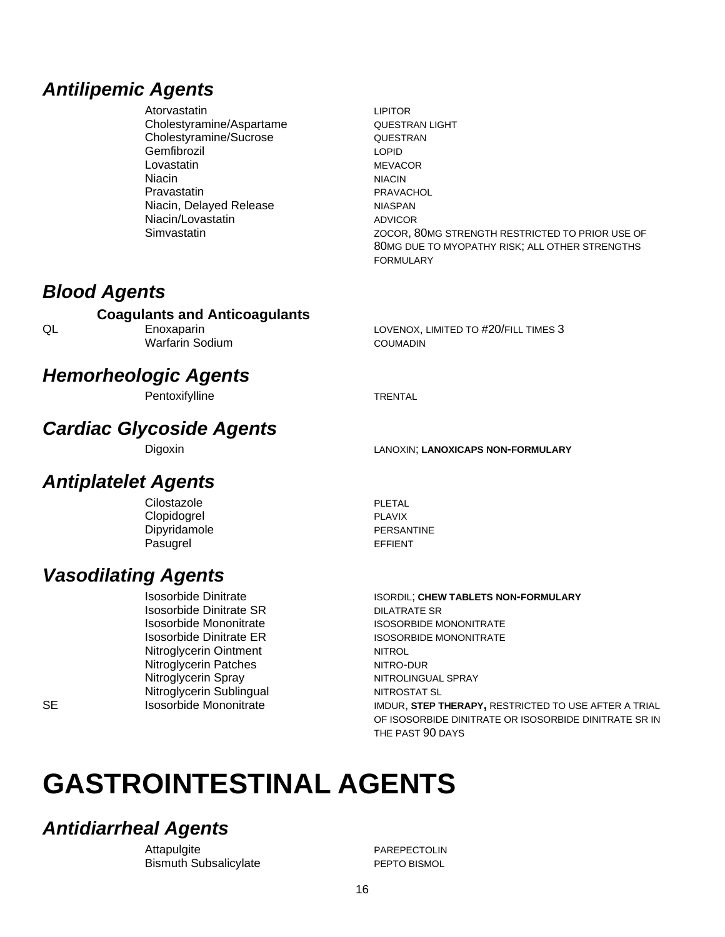### **Antilipemic Agents**

- Atorvastatin Cholestyramine/Aspartame Cholestyramine/Sucrose Gemfibrozil Lovastatin **Niacin** Pravastatin Niacin, Delayed Release Niacin/Lovastatin Simvastatin
- **LIPITOR QUESTRAN LIGHT** QUESTRAN **LOPID MEVACOR NIACIN** PRAVACHOL **NIASPAN ADVICOR** ZOCOR, 80MG STRENGTH RESTRICTED TO PRIOR USE OF 80MG DUE TO MYOPATHY RISK; ALL OTHER STRENGTHS **FORMULARY**

### **Blood Agents**

#### **Coagulants and Anticoagulants**

QL

**SE** 

Enoxaparin **Warfarin Sodium**  LOVENOX, LIMITED TO #20/FILL TIMES 3 **COUMADIN** 

### **Hemorheologic Agents**

Pentoxifylline

### **Cardiac Glycoside Agents**

### **Antiplatelet Agents**

Clopidogrel Dipyridamole Pasugrel

**PLETAL PLAVIX** PERSANTINE **EFFIENT** 

### **Vasodilating Agents**

**Isosorbide Dinitrate Isosorbide Dinitrate SR** Isosorbide Mononitrate **Isosorbide Dinitrate ER** Nitroglycerin Ointment Nitroglycerin Patches Nitroglycerin Spray Nitroglycerin Sublingual Isosorbide Mononitrate

**DILATRATE SR ISOSORBIDE MONONITRATE ISOSORBIDE MONONITRATE NITROL** NITRO-DUR NITROLINGUAL SPRAY NITROSTAT SL IMDUR, STEP THERAPY, RESTRICTED TO USE AFTER A TRIAL OF ISOSORBIDE DINITRATE OR ISOSORBIDE DINITRATE SR IN

THE PAST 90 DAYS

# **GASTROINTESTINAL AGENTS**

### **Antidiarrheal Agents**

Attapulgite **Bismuth Subsalicylate** 

**PAREPECTOLIN** PEPTO BISMOL

LANOXIN; LANOXICAPS NON-FORMULARY

ISORDIL; CHEW TABLETS NON-FORMULARY

**TRENTAL** 

# Digoxin Cilostazole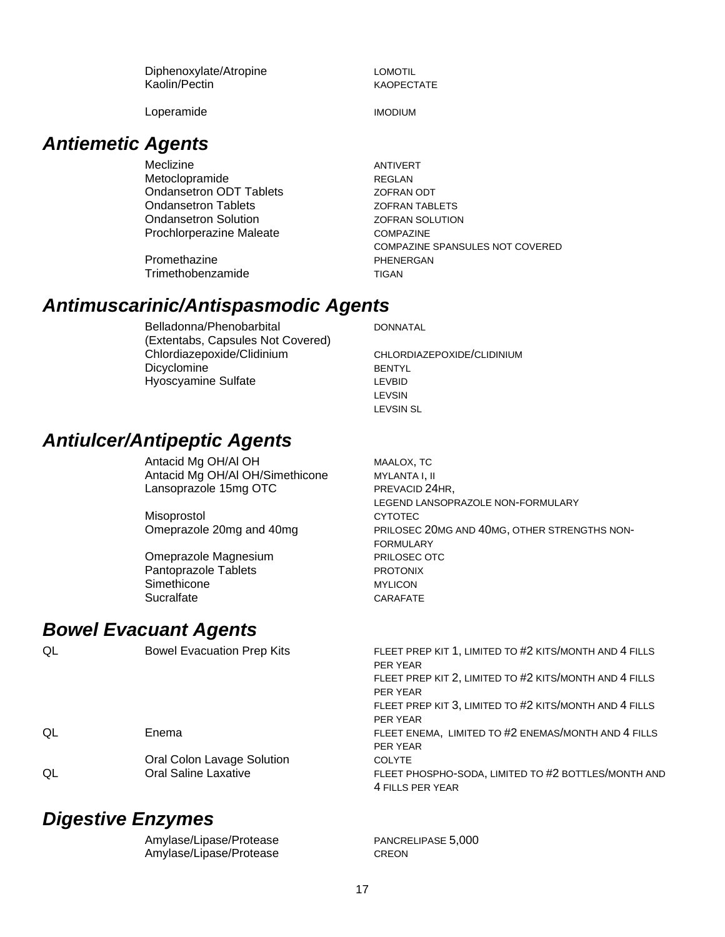| Diphenoxylate/Atropine | LOMOTIL           |
|------------------------|-------------------|
| Kaolin/Pectin          | <b>KAOPECTATE</b> |

Loperamide IMODIUM

### *Antiemetic Agents*

Meclizine **ANTIVERT** Metoclopramide REGLAN Ondansetron ODT Tablets **ZOFRAN ODT** Ondansetron Tablets **ZOFRAN TABLETS Ondansetron Solution COLUTION** Prochlorperazine Maleate COMPAZINE

Promethazine **PHENERGAN** Trimethobenzamide TIGAN

COMPAZINE SPANSULES NOT COVERED

### *Antimuscarinic/Antispasmodic Agents*

Belladonna/Phenobarbital (Extentabs, Capsules Not Covered) Chlordiazepoxide/Clidinium CHLORDIAZEPOXIDE/CLIDINIUM Dicyclomine BENTYL Hyoscyamine Sulfate **LEVBID** 

DONNATAL

LEVSIN LEVSIN SL

### *Antiulcer/Antipeptic Agents*

Antacid Mg OH/AI OH MAALOX, TC Antacid Mg OH/Al OH/Simethicone MYLANTA I, II Lansoprazole 15mg OTC PREVACID 24HR,

Misoprostol and CYTOTEC

Omeprazole Magnesium **PRILOSEC OTC** Pantoprazole Tablets **PROTONIX** Simethicone MYLICON Sucralfate CARAFATE

### *Bowel Evacuant Agents*

QL Bowel Evacuation Prep Kits FLEET PREP KIT 1, LIMITED TO #2 KITS/MONTH AND 4 FILLS PER YEAR FLEET PREP KIT 2, LIMITED TO #2 KITS/MONTH AND 4 FILLS PER YEAR FLEET PREP KIT 3, LIMITED TO #2 KITS/MONTH AND 4 FILLS PER YEAR QL Enema FLEET ENEMA, LIMITED TO #2 ENEMAS/MONTH AND 4 FILLS PER YEAR Oral Colon Lavage Solution COLYTE QL CHEET PHOSPHO-SODA, LIMITED TO #2 BOTTLES/MONTH AND 4 FILLS PER YEAR

### *Digestive Enzymes*

Amylase/Lipase/Protease PANCRELIPASE 5,000 Amylase/Lipase/Protease CREON

LEGEND LANSOPRAZOLE NON-FORMULARY Omeprazole 20mg and 40mg PRILOSEC 20MG AND 40MG, OTHER STRENGTHS NON-FORMULARY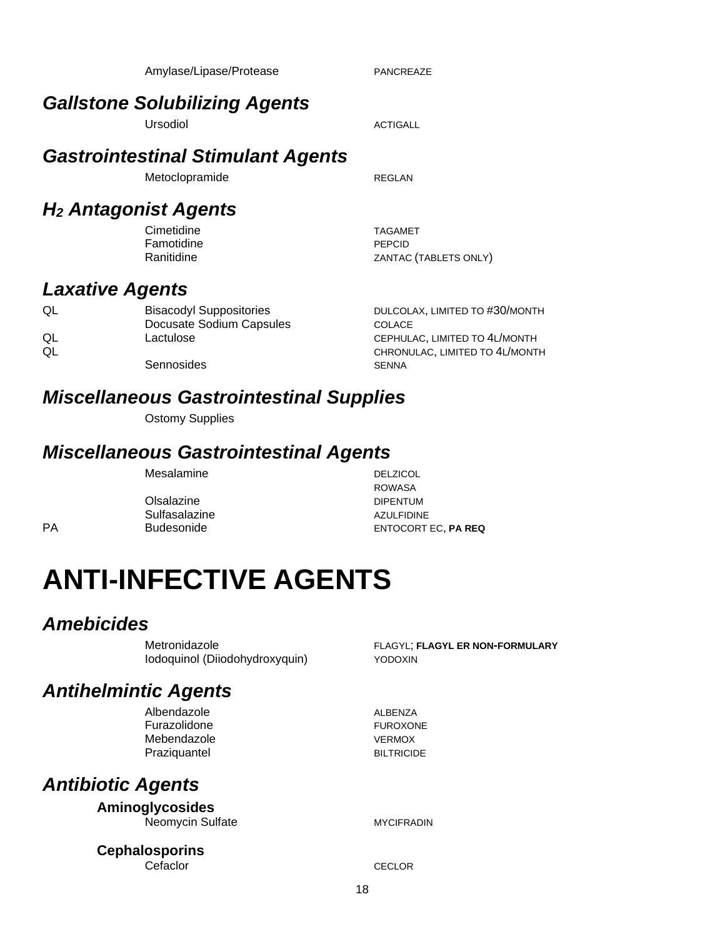|          | <b>Gastrointestinal Stimulant Agents</b>                   |                                                                 |
|----------|------------------------------------------------------------|-----------------------------------------------------------------|
|          | Metoclopramide                                             | REGLAN                                                          |
|          | <b>H<sub>2</sub> Antagonist Agents</b>                     |                                                                 |
|          | Cimetidine<br>Famotidine<br>Ranitidine                     | <b>TAGAMET</b><br>PEPCID<br>ZANTAC (TABLETS ONLY)               |
|          | <b>Laxative Agents</b>                                     |                                                                 |
| QL       | <b>Bisacodyl Suppositories</b><br>Docusate Sodium Capsules | DULCOLAX, LIMITED TO #30/MONTH<br>COLACE                        |
| QL<br>QL | Lactulose                                                  | CEPHULAC, LIMITED TO 4L/MONTH<br>CHRONULAC, LIMITED TO 4L/MONTH |
|          | Sennosides                                                 | <b>SENNA</b>                                                    |
|          | <b>Miscellaneous Gastrointestinal Supplies</b>             |                                                                 |
|          | <b>Ostomy Supplies</b>                                     |                                                                 |
|          | <b>Miscellaneous Gastrointestinal Agents</b>               |                                                                 |
|          | Mesalamine                                                 | <b>DELZICOL</b><br><b>ROWASA</b>                                |
|          | Olsalazine                                                 | <b>DIPENTUM</b>                                                 |
|          | Sulfasalazine                                              | <b>AZULFIDINE</b>                                               |
| PА       | <b>Budesonide</b>                                          | <b>ENTOCORT EC, PA REQ</b>                                      |

Amylase/Lipase/Protease PANCREAZE

Ursodiol and a series of the ACTIGALL

*Gallstone Solubilizing Agents*

# **ANTI-INFECTIVE AGENTS**

### *Amebicides*

Metronidazole FLAGYL; **FLAGYL ER NON-FORMULARY** Iodoquinol (Diiodohydroxyquin) YODOXIN

### *Antihelmintic Agents*

Albendazole **ALBENZA** Furazolidone **FUROXONE** Mebendazole **VERMOX** Praziquantel BILTRICIDE

### *Antibiotic Agents*

**Aminoglycosides** Neomycin Sulfate MYCIFRADIN

**Cephalosporins** Cefaclor **CECLOR**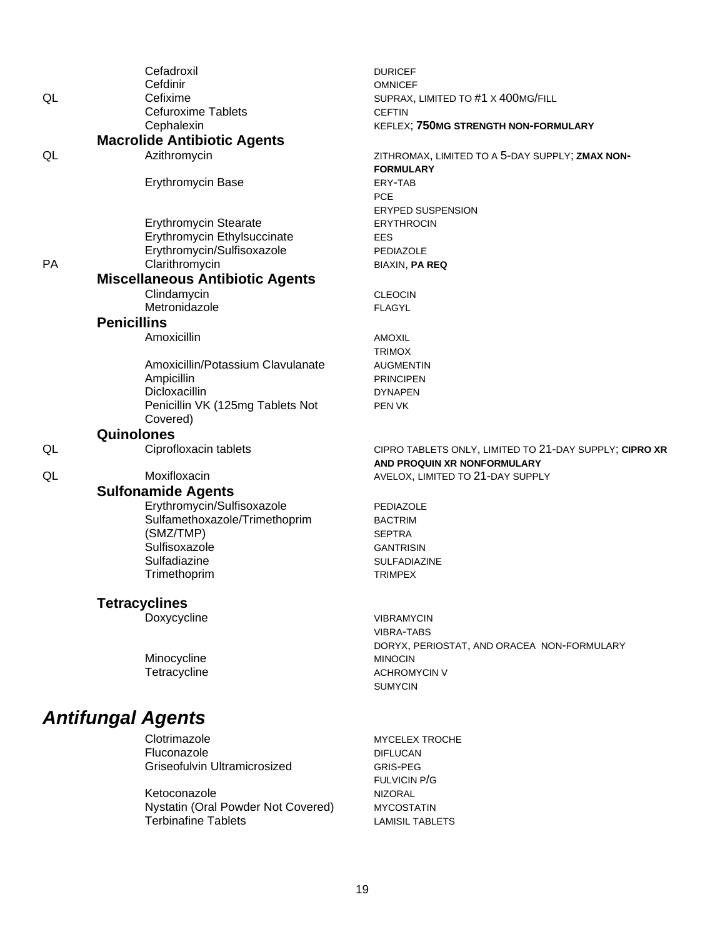| ZITHROMAX, LIMITED TO A 5-DAY SUPPLY; ZMAX NON-        |
|--------------------------------------------------------|
|                                                        |
|                                                        |
|                                                        |
|                                                        |
|                                                        |
|                                                        |
|                                                        |
|                                                        |
|                                                        |
|                                                        |
|                                                        |
|                                                        |
|                                                        |
|                                                        |
|                                                        |
|                                                        |
|                                                        |
|                                                        |
|                                                        |
|                                                        |
|                                                        |
|                                                        |
|                                                        |
|                                                        |
|                                                        |
|                                                        |
| CIPRO TABLETS ONLY, LIMITED TO 21-DAY SUPPLY; CIPRO XR |
|                                                        |
|                                                        |
|                                                        |
|                                                        |
|                                                        |
|                                                        |
|                                                        |
|                                                        |
|                                                        |
|                                                        |
|                                                        |
|                                                        |
|                                                        |
|                                                        |
|                                                        |
|                                                        |
|                                                        |
| DORYX, PERIOSTAT, AND ORACEA NON-FORMULARY             |

### **Antifungal Agents**

 $\mathsf{QL}$ 

 $\mathsf{QL}$ 

PA

 $\mathsf{QL}$ 

 $QL$ 

Clotrimazole Fluconazole Griseofulvin Ultramicrosized

Ketoconazole<br>Nystatin (Oral Powder Not Covered)<br>Terbinafine Tablets

MYCELEX TROCHE **DIFLUCAN** GRIS-PEG FULVICIN P/G **NIZORAL MYCOSTATIN LAMISIL TABLETS**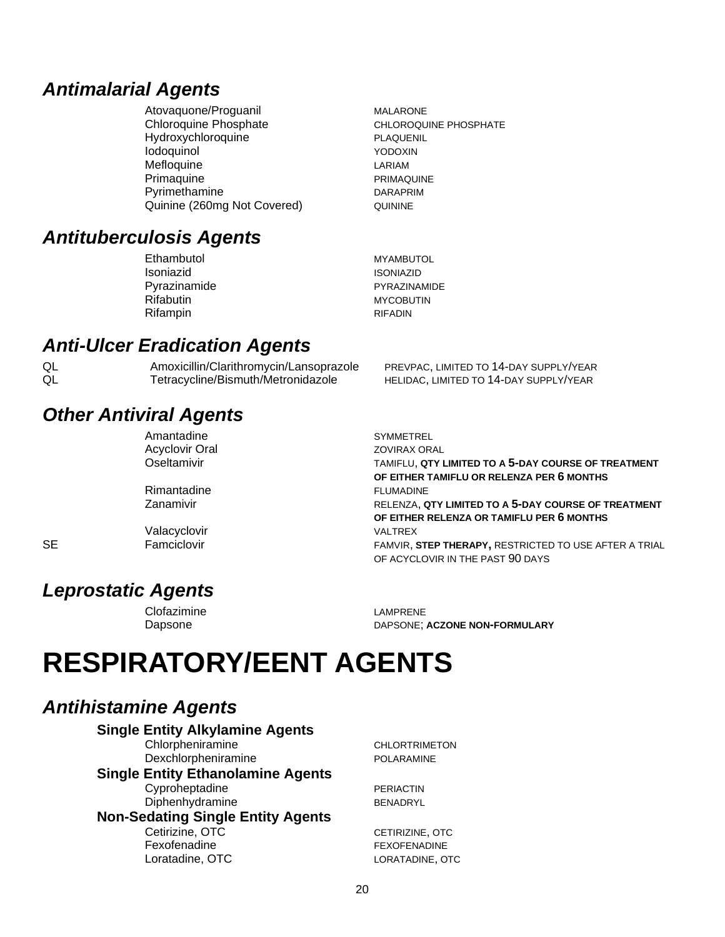### *Antimalarial Agents*

Atovaquone/Proguanil MALARONE Chloroquine Phosphate CHLOROQUINE PHOSPHATE Hydroxychloroquine **PLAQUENIL** Iodoquinol YODOXIN Mefloquine LARIAM Primaquine **Primaculation** PRIMAQUINE Pyrimethamine DARAPRIM Quinine (260mg Not Covered) QUININE

### *Antituberculosis Agents*

| Ethambutol       | <b>MYAMBUTOL</b>    |
|------------------|---------------------|
| Isoniazid        | <b>ISONIAZID</b>    |
| Pyrazinamide     | <b>PYRAZINAMIDE</b> |
| <b>Rifabutin</b> | <b>MYCOBUTIN</b>    |
| Rifampin         | <b>RIFADIN</b>      |
|                  |                     |

### *Anti-Ulcer Eradication Agents*

QL Amoxicillin/Clarithromycin/Lansoprazole PREVPAC, LIMITED TO 14-DAY SUPPLY/YEAR QL Tetracycline/Bismuth/Metronidazole HELIDAC, LIMITED TO 14-DAY SUPPLY/YEAR

### *Other Antiviral Agents*

| Amantadine     |
|----------------|
| Acyclovir Oral |
| Oseltamivir    |

Rimantadine **FLUMADINE** 

Valacyclovir **VALTREX** 

SYMMETREL ZOVIRAX ORAL TAMIFLU, QTY LIMITED TO A 5-DAY COURSE OF TREATMENT **OF EITHER TAMIFLU OR RELENZA PER 6 MONTHS**  Zanamivir RELENZA, **QTY LIMITED TO A 5-DAY COURSE OF TREATMENT OF EITHER RELENZA OR TAMIFLU PER 6 MONTHS**  SE Famciclovir Famciclovir FAMVIR, STEP THERAPY, RESTRICTED TO USE AFTER A TRIAL OF ACYCLOVIR IN THE PAST 90 DAYS

### *Leprostatic Agents*

Clofazimine LAMPRENE

Dapsone DAPSONE; **ACZONE NON-FORMULARY**

# **RESPIRATORY/EENT AGENTS**

### *Antihistamine Agents*

**Single Entity Alkylamine Agents** Chlorpheniramine CHLORTRIMETON Dexchlorpheniramine POLARAMINE **Single Entity Ethanolamine Agents** Cyproheptadine PERIACTIN Diphenhydramine BENADRYL **Non-Sedating Single Entity Agents** Cetirizine, OTC CETIRIZINE, OTC Fexofenadine FEXOFENADINE Loratadine, OTC LORATADINE, OTC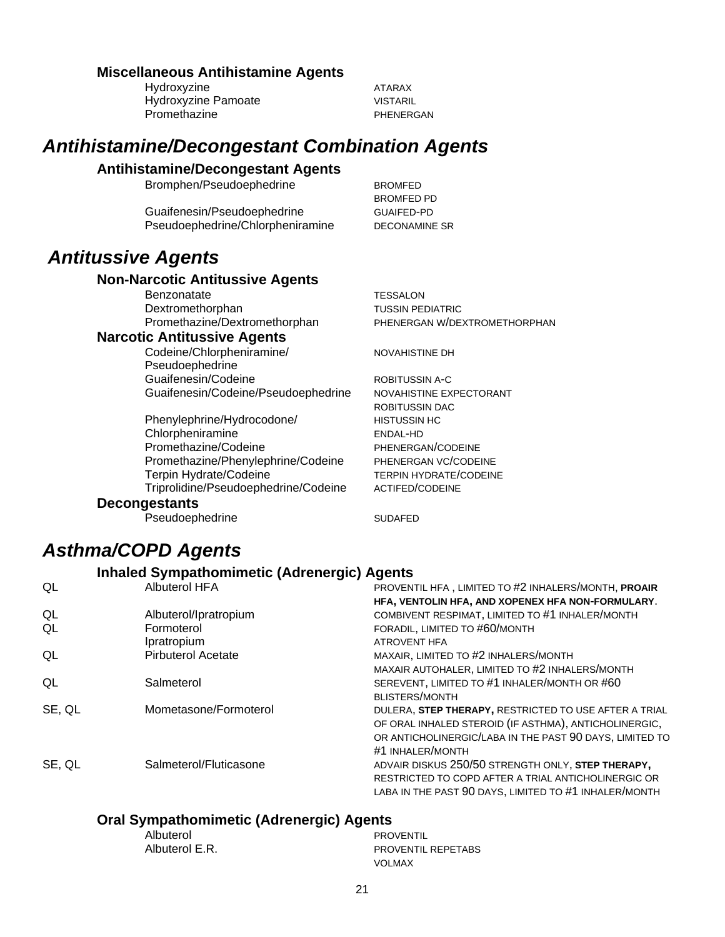#### **Miscellaneous Antihistamine Agents**

Hydroxyzine ATARAX Hydroxyzine Pamoate VISTARIL Promethazine **PHENERGAN** 

### *Antihistamine/Decongestant Combination Agents*

#### **Antihistamine/Decongestant Agents**

Bromphen/Pseudoephedrine BROMFED

Guaifenesin/Pseudoephedrine GUAIFED-PD Pseudoephedrine/Chlorpheniramine DECONAMINE SR

### *Antitussive Agents*

#### **Non-Narcotic Antitussive Agents**

Benzonatate TESSALON Dextromethorphan TUSSIN PEDIATRIC

#### **Narcotic Antitussive Agents**

Codeine/Chlorpheniramine/ Pseudoephedrine Guaifenesin/Codeine **ROBITUSSIN A-C** Guaifenesin/Codeine/Pseudoephedrine NOVAHISTINE EXPECTORANT

Phenylephrine/Hydrocodone/ Chlorpheniramine Promethazine/Codeine PHENERGAN/CODEINE Promethazine/Phenylephrine/Codeine PHENERGAN VC/CODEINE Terpin Hydrate/Codeine TERPIN HYDRATE/CODEINE Triprolidine/Pseudoephedrine/Codeine ACTIFED/CODEINE

BROMFED PD

Promethazine/Dextromethorphan PHENERGAN W/DEXTROMETHORPHAN

NOVAHISTINE DH

ROBITUSSIN DAC HISTUSSIN HC ENDAL-HD

#### **Decongestants**

Pseudoephedrine SUDAFED

### *Asthma/COPD Agents*

#### **Inhaled Sympathomimetic (Adrenergic) Agents**

| QL     | Albuterol HFA             | PROVENTIL HFA, LIMITED TO #2 INHALERS/MONTH, PROAIR     |
|--------|---------------------------|---------------------------------------------------------|
|        |                           | HFA, VENTOLIN HFA, AND XOPENEX HFA NON-FORMULARY.       |
| QL     | Albuterol/Ipratropium     | COMBIVENT RESPIMAT, LIMITED TO #1 INHALER/MONTH         |
| QL     | Formoterol                | FORADIL, LIMITED TO #60/MONTH                           |
|        | Ipratropium               | <b>ATROVENT HFA</b>                                     |
| QL     | <b>Pirbuterol Acetate</b> | MAXAIR, LIMITED TO #2 INHALERS/MONTH                    |
|        |                           | MAXAIR AUTOHALER, LIMITED TO #2 INHALERS/MONTH          |
| QL     | Salmeterol                | SEREVENT, LIMITED TO #1 INHALER/MONTH OR #60            |
|        |                           | <b>BLISTERS/MONTH</b>                                   |
| SE, QL | Mometasone/Formoterol     | DULERA, STEP THERAPY, RESTRICTED TO USE AFTER A TRIAL   |
|        |                           | OF ORAL INHALED STEROID (IF ASTHMA), ANTICHOLINERGIC,   |
|        |                           | OR ANTICHOLINERGIC/LABA IN THE PAST 90 DAYS, LIMITED TO |
|        |                           | #1 INHALER/MONTH                                        |
| SE, QL | Salmeterol/Fluticasone    | ADVAIR DISKUS 250/50 STRENGTH ONLY, STEP THERAPY,       |
|        |                           | RESTRICTED TO COPD AFTER A TRIAL ANTICHOLINERGIC OR     |
|        |                           | LABA IN THE PAST 90 DAYS, LIMITED TO #1 INHALER/MONTH   |

#### **Oral Sympathomimetic (Adrenergic) Agents**

|                | _ _ _ |                           |
|----------------|-------|---------------------------|
| Albuterol      |       | <b>PROVENTIL</b>          |
| Albuterol E.R. |       | <b>PROVENTIL REPETABS</b> |
|                |       | <b>VOLMAX</b>             |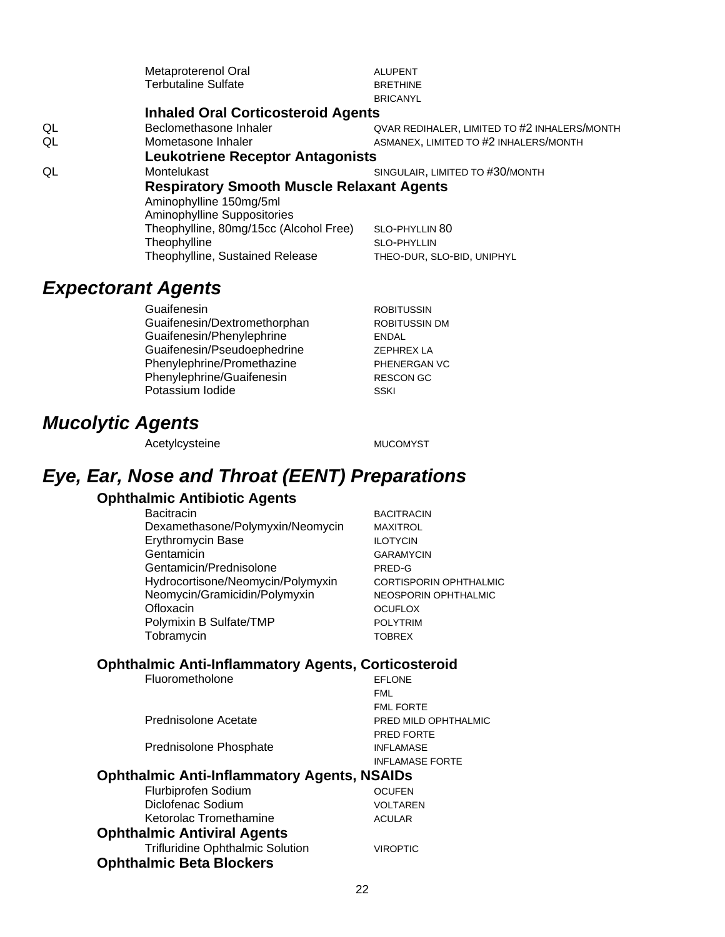|    | Metaproterenol Oral                              | <b>ALUPENT</b>                               |  |
|----|--------------------------------------------------|----------------------------------------------|--|
|    | <b>Terbutaline Sulfate</b>                       | <b>BRETHINE</b>                              |  |
|    |                                                  | <b>BRICANYL</b>                              |  |
|    | <b>Inhaled Oral Corticosteroid Agents</b>        |                                              |  |
| QL | Beclomethasone Inhaler                           | QVAR REDIHALER, LIMITED TO #2 INHALERS/MONTH |  |
| QL | Mometasone Inhaler                               | ASMANEX, LIMITED TO #2 INHALERS/MONTH        |  |
|    | <b>Leukotriene Receptor Antagonists</b>          |                                              |  |
| QL | Montelukast                                      | SINGULAIR, LIMITED TO #30/MONTH              |  |
|    | <b>Respiratory Smooth Muscle Relaxant Agents</b> |                                              |  |
|    | Aminophylline 150mg/5ml                          |                                              |  |
|    | Aminophylline Suppositories                      |                                              |  |
|    | Theophylline, 80mg/15cc (Alcohol Free)           | SLO-PHYLLIN 80                               |  |
|    | Theophylline                                     | <b>SLO-PHYLLIN</b>                           |  |
|    | Theophylline, Sustained Release                  | THEO-DUR, SLO-BID, UNIPHYL                   |  |

### *Expectorant Agents*

Guaifenesin **Company Company Company Company Company Company Company Company Company Company Company Company Company Company Company Company Company Company Company Company Company Company Company Company Company Company C** Guaifenesin/Dextromethorphan ROBITUSSIN DM Guaifenesin/Phenylephrine ENDAL Guaifenesin/Pseudoephedrine ZEPHREX LA Phenylephrine/Promethazine PHENERGAN VC Phenylephrine/Guaifenesin RESCON GC Potassium Iodide SSKI

### *Mucolytic Agents*

Acetylcysteine MUCOMYST

### *Eye, Ear, Nose and Throat (EENT) Preparations*

#### **Ophthalmic Antibiotic Agents**

Bacitracin BACITRACIN Dexamethasone/Polymyxin/Neomycin MAXITROL Erythromycin Base **ILOTYCIN** Gentamicin GARAMYCIN Gentamicin/Prednisolone PRED-G Hydrocortisone/Neomycin/Polymyxin CORTISPORIN OPHTHALMIC Neomycin/Gramicidin/Polymyxin NEOSPORIN OPHTHALMIC Ofloxacin **OCUFLOX** Polymixin B Sulfate/TMP **POLYTRIM** Tobramycin TOBREX

### **Ophthalmic Anti-Inflammatory Agents, Corticosteroid**<br>FELONE

| Fluorometholone                             | <b>EFLONE</b>          |
|---------------------------------------------|------------------------|
|                                             | <b>FML</b>             |
|                                             | <b>FML FORTE</b>       |
| Prednisolone Acetate                        | PRED MILD OPHTHALMIC   |
|                                             | <b>PRED FORTE</b>      |
| Prednisolone Phosphate                      | <b>INFLAMASE</b>       |
|                                             | <b>INFLAMASE FORTE</b> |
| Ophthalmic Anti-Inflammatory Agents, NSAIDs |                        |
| Flurbiprofen Sodium                         | <b>OCUFEN</b>          |
| Diclofenac Sodium                           | VOLTAREN               |
| Ketorolac Tromethamine                      | <b>ACULAR</b>          |
| <b>Ophthalmic Antiviral Agents</b>          |                        |

Trifluridine Ophthalmic Solution VIROPTIC **Ophthalmic Beta Blockers**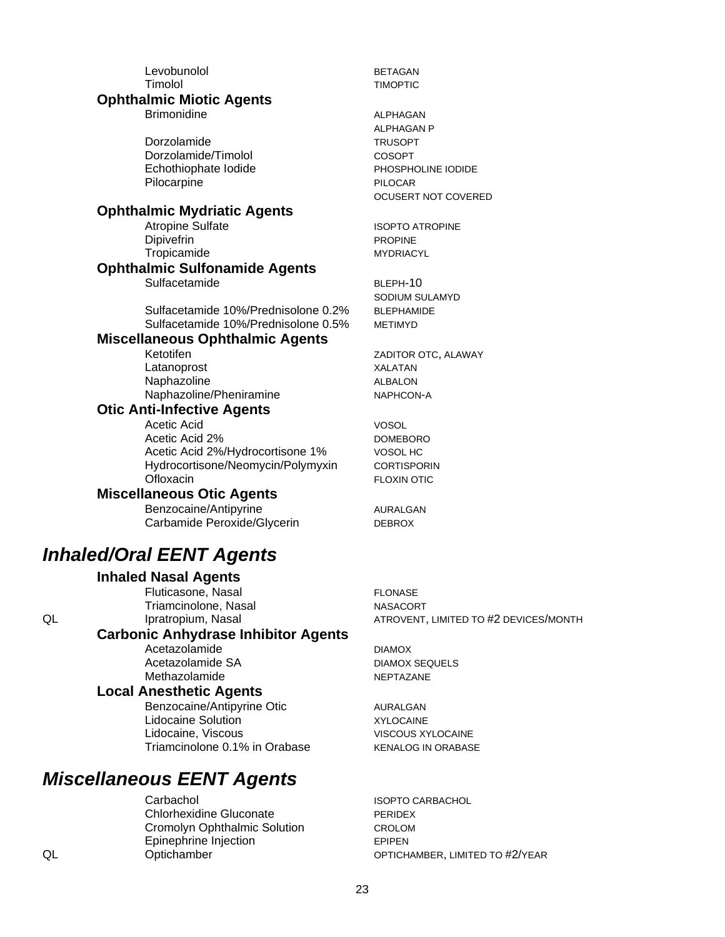Levobunolol BETAGAN Timolol TIMOPTIC

#### **Ophthalmic Miotic Agents**

Brimonidine **ALPHAGAN** 

Dorzolamide TRUSOPT Dorzolamide/Timolol COSOPT Echothiophate Iodide PHOSPHOLINE IODIDE Pilocarpine PILOCAR

#### **Ophthalmic Mydriatic Agents**

Dipivefrin PROPINE Tropicamide MYDRIACYL

#### **Ophthalmic Sulfonamide Agents** Sulfacetamide BLEPH-10

Sulfacetamide 10%/Prednisolone 0.2% BLEPHAMIDE Sulfacetamide 10%/Prednisolone 0.5% METIMYD

#### **Miscellaneous Ophthalmic Agents**

Ketotifen ZADITOR OTC, ALAWAY Latanoprost XALATAN Naphazoline ALBALON Naphazoline/Pheniramine NAPHCON-A

#### **Otic Anti-Infective Agents**

Acetic Acid VOSOL Acetic Acid 2% DOMEBORO Acetic Acid 2%/Hydrocortisone 1% VOSOL HC Hydrocortisone/Neomycin/Polymyxin CORTISPORIN Ofloxacin **FLOXIN OTIC** 

#### **Miscellaneous Otic Agents**

Benzocaine/Antipyrine AURALGAN Carbamide Peroxide/Glycerin DEBROX

### *Inhaled/Oral EENT Agents*

#### **Inhaled Nasal Agents**

Fluticasone, Nasal FLONASE Triamcinolone, Nasal NASACORT

### **Carbonic Anhydrase Inhibitor Agents**

Acetazolamide DIAMOX Acetazolamide SA DIAMOX SEQUELS Methazolamide NEPTAZANE

#### **Local Anesthetic Agents**

Benzocaine/Antipyrine Otic **AURALGAN** Lidocaine Solution **XYLOCAINE** Lidocaine, Viscous VISCOUS XYLOCAINE Triamcinolone 0.1% in Orabase KENALOG IN ORABASE

### *Miscellaneous EENT Agents*

Carbachol **Carbachol ISOPTO CARBACHOL** Chlorhexidine Gluconate PERIDEX Cromolyn Ophthalmic Solution CROLOM Epinephrine Injection EPIPEN

ALPHAGAN P OCUSERT NOT COVERED

Atropine Sulfate **ISOPTO ATROPINE** 

SODIUM SULAMYD

QL **Ipratropium, Nasal ATROVENT, LIMITED TO #2 DEVICES/MONTH** 

QL Optichamber OPTICHAMBER, LIMITED TO #2/YEAR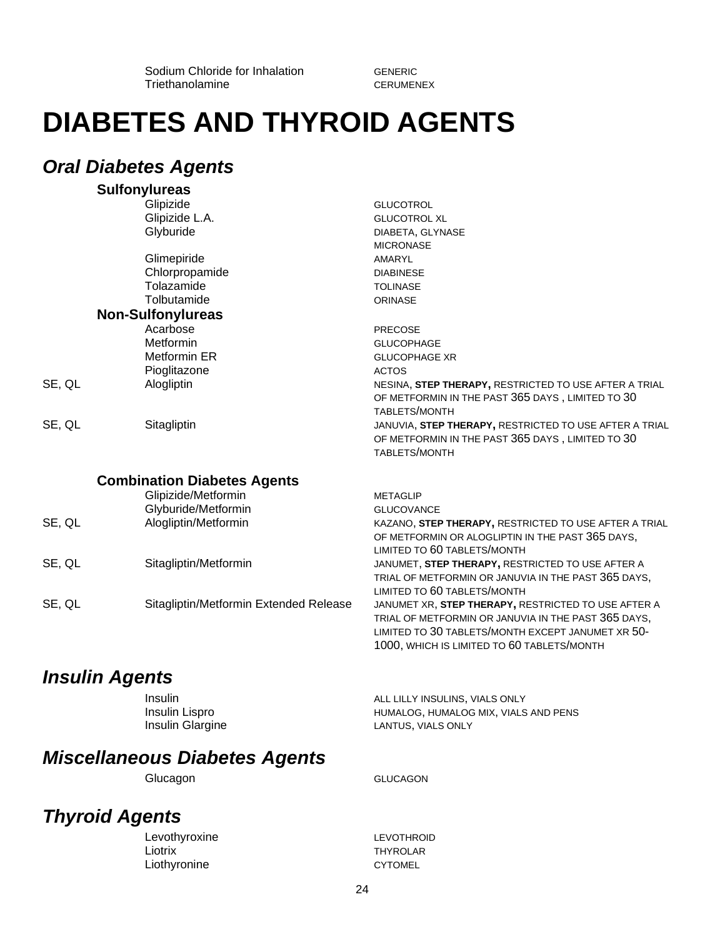Sodium Chloride for Inhalation GENERIC Triethanolamine CERUMENEX

## **DIABETES AND THYROID AGENTS**

#### *Oral Diabetes Agents* **Sulfonylureas**

|        | Suifonyiureas                          |                                                        |
|--------|----------------------------------------|--------------------------------------------------------|
|        | Glipizide                              | <b>GLUCOTROL</b>                                       |
|        | Glipizide L.A.                         | <b>GLUCOTROL XL</b>                                    |
|        | Glyburide                              | DIABETA, GLYNASE                                       |
|        |                                        | <b>MICRONASE</b>                                       |
|        | Glimepiride                            | <b>AMARYL</b>                                          |
|        | Chlorpropamide                         | <b>DIABINESE</b>                                       |
|        | Tolazamide                             | <b>TOLINASE</b>                                        |
|        | Tolbutamide                            | <b>ORINASE</b>                                         |
|        | <b>Non-Sulfonylureas</b>               |                                                        |
|        | Acarbose                               | <b>PRECOSE</b>                                         |
|        | Metformin                              | <b>GLUCOPHAGE</b>                                      |
|        | Metformin ER                           | <b>GLUCOPHAGE XR</b>                                   |
|        | Pioglitazone                           | <b>ACTOS</b>                                           |
| SE, QL | Alogliptin                             | NESINA, STEP THERAPY, RESTRICTED TO USE AFTER A TRIAL  |
|        |                                        | OF METFORMIN IN THE PAST 365 DAYS, LIMITED TO 30       |
|        |                                        | <b>TABLETS/MONTH</b>                                   |
| SE, QL | Sitagliptin                            | JANUVIA, STEP THERAPY, RESTRICTED TO USE AFTER A TRIAL |
|        |                                        | OF METFORMIN IN THE PAST 365 DAYS, LIMITED TO 30       |
|        |                                        | TABLETS/MONTH                                          |
|        | <b>Combination Diabetes Agents</b>     |                                                        |
|        | Glipizide/Metformin                    | <b>METAGLIP</b>                                        |
|        | Glyburide/Metformin                    | <b>GLUCOVANCE</b>                                      |
| SE, QL | Alogliptin/Metformin                   | KAZANO, STEP THERAPY, RESTRICTED TO USE AFTER A TRIAL  |
|        |                                        | OF METFORMIN OR ALOGLIPTIN IN THE PAST 365 DAYS,       |
|        |                                        | LIMITED TO 60 TABLETS/MONTH                            |
| SE, QL | Sitagliptin/Metformin                  | JANUMET, STEP THERAPY, RESTRICTED TO USE AFTER A       |
|        |                                        | TRIAL OF METFORMIN OR JANUVIA IN THE PAST 365 DAYS,    |
|        |                                        | LIMITED TO 60 TABLETS/MONTH                            |
| SE, QL | Sitagliptin/Metformin Extended Release | JANUMET XR, STEP THERAPY, RESTRICTED TO USE AFTER A    |
|        |                                        | TRIAL OF METFORMIN OR JANUVIA IN THE PAST 365 DAYS,    |
|        |                                        | LIMITED TO 30 TABLETS/MONTH EXCEPT JANUMET XR 50-      |

### *Insulin Agents*

| Insulin          | ALL LILLY INSULINS, VIALS ONLY       |
|------------------|--------------------------------------|
| Insulin Lispro   | HUMALOG, HUMALOG MIX, VIALS AND PENS |
| Insulin Glargine | LANTUS, VIALS ONLY                   |

### *Miscellaneous Diabetes Agents*

Glucagon GLUCAGON

1000, WHICH IS LIMITED TO 60 TABLETS/MONTH

### *Thyroid Agents*

Levothyroxine LevoTHROID Liotrix THYROLAR Liothyronine CYTOMEL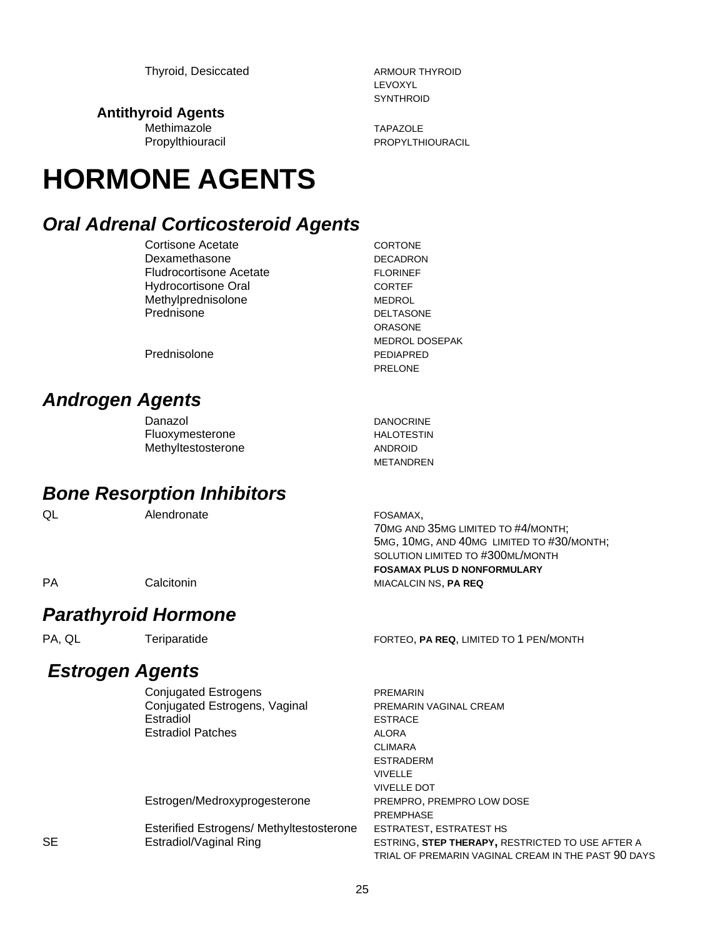**Antithyroid Agents**

Methimazole TAPAZOLE

# **HORMONE AGENTS**

### *Oral Adrenal Corticosteroid Agents*

Cortisone Acetate CORTONE Dexamethasone DECADRON Fludrocortisone Acetate FLORINEF Hydrocortisone Oral CORTEF Methylprednisolone MEDROL Prednisone DELTASONE

ORASONE MEDROL DOSEPAK PRELONE

METANDREN

Prednisolone PEDIAPRED

### *Androgen Agents*

| Danazol            | <b>DANOCRINE</b> |
|--------------------|------------------|
| Fluoxymesterone    | HALOTESTIN       |
| Methyltestosterone | ANDROID          |

### *Bone Resorption Inhibitors*

QL Alendronate **FOSAMAX**,

70MG AND 35MG LIMITED TO #4/MONTH; 5MG, 10MG, AND 40MG LIMITED TO #30/MONTH; SOLUTION LIMITED TO #300ML/MONTH **FOSAMAX PLUS D NONFORMULARY PA** Calcitonin Calcitonin MIACALCIN NS, **PA REQ** 

### *Parathyroid Hormone*

### *Estrogen Agents*

Conjugated Estrogens **PREMARIN** Conjugated Estrogens, Vaginal PREMARIN VAGINAL CREAM Estradiol ESTRACE Estradiol Patches ALORA

Estrogen/Medroxyprogesterone PREMPRO, PREMPRO LOW DOSE

Esterified Estrogens/ Methyltestosterone ESTRATEST, ESTRATEST HS

#### PA, QL Teriparatide FORTEO, **PA REQ**, LIMITED TO 1 PEN/MONTH

CLIMARA ESTRADERM VIVELLE VIVELLE DOT PREMPHASE SE Estradiol/Vaginal Ring ESTRING, **STEP THERAPY,** RESTRICTED TO USE AFTER A TRIAL OF PREMARIN VAGINAL CREAM IN THE PAST 90 DAYS

LEVOXYL **SYNTHROID** 

Propylthiouracil PROPYLTHIOURACIL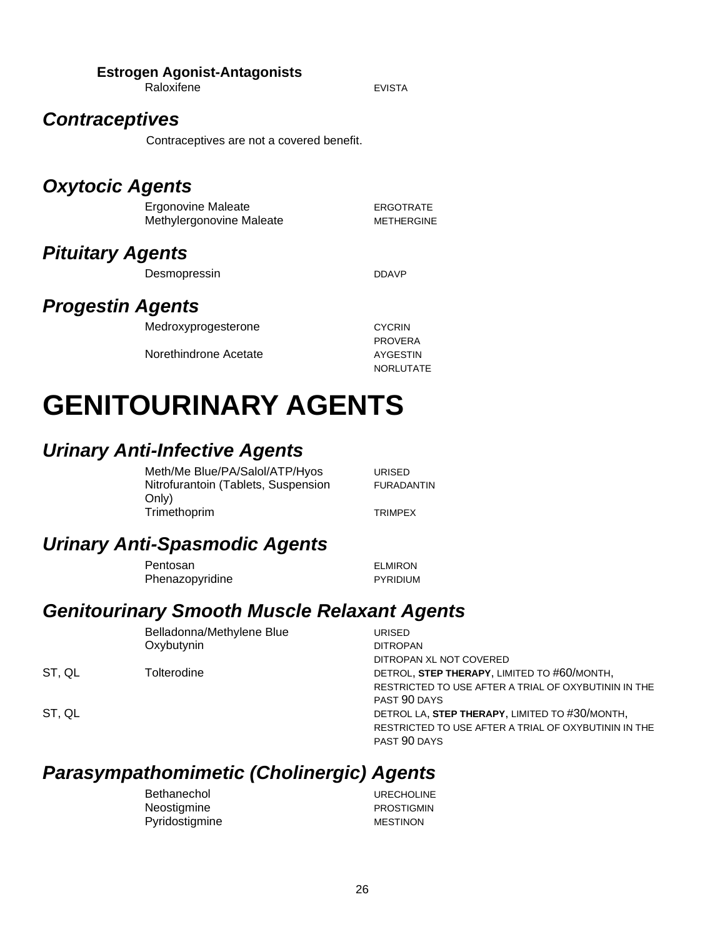#### **Estrogen Agonist-Antagonists**

Raloxifene **EVISTA** 

### *Contraceptives*

Contraceptives are not a covered benefit.

### *Oxytocic Agents*

| Ergonovine Maleate       | ERGOTRATE         |
|--------------------------|-------------------|
| Methylergonovine Maleate | <b>METHERGINE</b> |

### *Pituitary Agents*

Desmopressin DDAVP

### *Progestin Agents*

| Medroxyprogesterone   | <b>CYCRIN</b>    |
|-----------------------|------------------|
|                       | <b>PROVERA</b>   |
| Norethindrone Acetate | AYGESTIN         |
|                       | <b>NORLUTATE</b> |

# **GENITOURINARY AGENTS**

### *Urinary Anti-Infective Agents*

Meth/Me Blue/PA/Salol/ATP/Hyos URISED Nitrofurantoin (Tablets, Suspension Only) Trimethoprim TRIMPEX

FURADANTIN

### *Urinary Anti-Spasmodic Agents*

Pentosan ELMIRON Phenazopyridine **PYRIDIUM** 

### *Genitourinary Smooth Muscle Relaxant Agents*

Belladonna/Methylene Blue URISED Oxybutynin DITROPAN

ST, QL

ST, QL

DITROPAN XL NOT COVERED Tolterodine DETROL, **STEP THERAPY**, LIMITED TO #60/MONTH, RESTRICTED TO USE AFTER A TRIAL OF OXYBUTININ IN THE PAST 90 DAYS DETROL LA, **STEP THERAPY**, LIMITED TO #30/MONTH, RESTRICTED TO USE AFTER A TRIAL OF OXYBUTININ IN THE PAST 90 DAYS

### *Parasympathomimetic (Cholinergic) Agents*

| Bethanechol    | <b>URECHOLINE</b> |
|----------------|-------------------|
| Neostigmine    | <b>PROSTIGMIN</b> |
| Pyridostigmine | MESTINON          |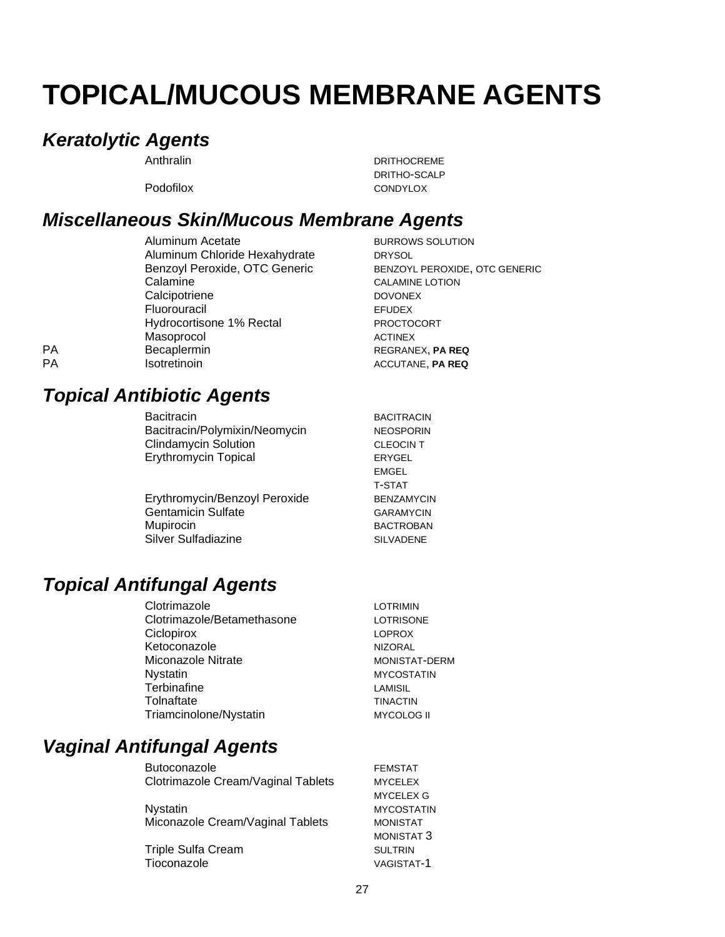# **TOPICAL/MUCOUS MEMBRANE AGENTS**

### *Keratolytic Agents*

Anthralin DRITHOCREME DRITHO-SCALP Podofilox CONDYLOX

### *Miscellaneous Skin/Mucous Membrane Agents*

|           | Aluminum Acetate              | <b>BURROWS SOLUTION</b> |
|-----------|-------------------------------|-------------------------|
|           | Aluminum Chloride Hexahydrate | <b>DRYSOL</b>           |
|           | Benzoyl Peroxide, OTC Generic | <b>BENZOYL PEROXIDE</b> |
|           | Calamine                      | <b>CALAMINE LOTION</b>  |
|           | Calcipotriene                 | <b>DOVONEX</b>          |
|           | Fluorouracil                  | <b>EFUDEX</b>           |
|           | Hydrocortisone 1% Rectal      | <b>PROCTOCORT</b>       |
|           | Masoprocol                    | <b>ACTINEX</b>          |
| <b>PA</b> | Becaplermin                   | REGRANEX, PA REQ        |
| <b>PA</b> | Isotretinoin                  | ACCUTANE, PA REQ        |

Acetate **BURROWS** SOLUTION Chloride Hexahydrate DRYSOL Benzoyl Peroxide, OTC Generic BENZOYL PEROXIDE, OTC GENERIC Calamine CALAMINE LOTION e die oorlog van die DOVONEX **EFUDEX** one 1% Rectal PROCTOCORT **ACTINEX** 

### *Topical Antibiotic Agents*

Bacitracin BACITRACIN Bacitracin/Polymixin/Neomycin NEOSPORIN Clindamycin Solution CLEOCIN T Erythromycin Topical **ERYGEL** 

Erythromycin/Benzoyl Peroxide BENZAMYCIN Gentamicin Sulfate GARAMYCIN Mupirocin BACTROBAN Silver Sulfadiazine SILVADENE

EMGEL T-STAT

### *Topical Antifungal Agents*

| Clotrimazole               | <b>LOTRIMIN</b>      |
|----------------------------|----------------------|
| Clotrimazole/Betamethasone | <b>LOTRISONE</b>     |
| Ciclopirox                 | <b>LOPROX</b>        |
| Ketoconazole               | <b>NIZORAL</b>       |
| Miconazole Nitrate         | <b>MONISTAT-DERM</b> |
| <b>Nystatin</b>            | <b>MYCOSTATIN</b>    |
| Terbinafine                | LAMISIL              |
| Tolnaftate                 | <b>TINACTIN</b>      |
| Triamcinolone/Nystatin     | <b>MYCOLOG II</b>    |

### *Vaginal Antifungal Agents*

Butoconazole **FEMSTAT** Clotrimazole Cream/Vaginal Tablets MYCELEX

Nystatin MYCOSTATIN Miconazole Cream/Vaginal Tablets MONISTAT

Triple Sulfa Cream SULTRIN Tioconazole VAGISTAT-1

MYCELEX G MONISTAT 3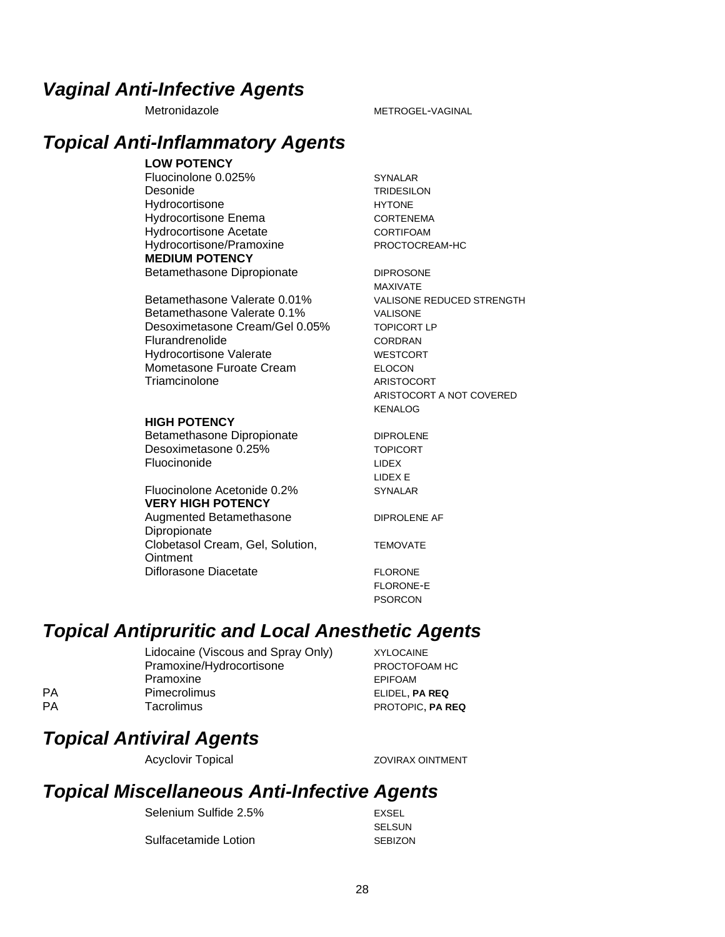### *Vaginal Anti-Infective Agents*

#### Metronidazole METROGEL-VAGINAL

### *Topical Anti-Inflammatory Agents*

#### **LOW POTENCY**

Fluocinolone 0.025% SYNALAR Desonide TRIDESILON Hydrocortisone HYTONE Hydrocortisone Enema<br>
CORTENEMA Hydrocortisone Acetate CORTIFOAM Hydrocortisone/Pramoxine PROCTOCREAM-HC **MEDIUM POTENCY** Betamethasone Dipropionate **DIPROSONE** 

Betamethasone Valerate 0.01% VALISONE REDUCED STRENGTH Betamethasone Valerate 0.1% VALISONE Desoximetasone Cream/Gel 0.05% TOPICORT LP Flurandrenolide CORDRAN Hydrocortisone Valerate WESTCORT Mometasone Furoate Cream ELOCON Triamcinolone ARISTOCORT

#### **HIGH POTENCY**

Betamethasone Dipropionate **DIPROLENE** Desoximetasone 0.25% TOPICORT Fluocinonide LIDEX

#### Fluocinolone Acetonide 0.2% SYNALAR **VERY HIGH POTENCY**

Augmented Betamethasone Dipropionate Clobetasol Cream, Gel, Solution, **Ointment** Diflorasone Diacetate FLORONE

MAXIVATE ARISTOCORT A NOT COVERED KENALOG

LIDEX E

DIPROLENE AF

TEMOVATE

FLORONE-E PSORCON

### *Topical Antipruritic and Local Anesthetic Agents*

Lidocaine (Viscous and Spray Only) XYLOCAINE Pramoxine/Hydrocortisone PROCTOFOAM HC Pramoxine EPIFOAM PA Pimecrolimus ELIDEL, **PA REQ** PA Tacrolimus **Tacrolimus** PROTOPIC, **PA REQ** 

### *Topical Antiviral Agents*

Acyclovir Topical **Example 2018** ZOVIRAX OINTMENT

### *Topical Miscellaneous Anti-Infective Agents*

Selenium Sulfide 2.5% EXSEL Sulfacetamide Lotion SEBIZON

SELSUN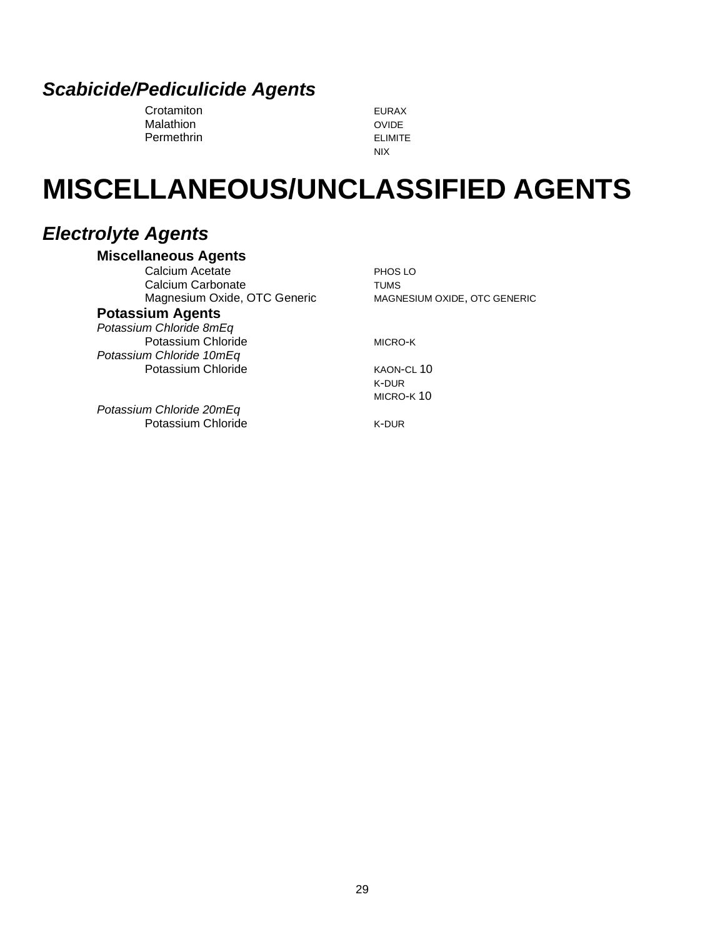### *Scabicide/Pediculicide Agents*

Crotamiton EURAX Malathion **Malathion** OVIDE Permethrin ELIMITE

NIX

# **MISCELLANEOUS/UNCLASSIFIED AGENTS**

### *Electrolyte Agents*

#### **Miscellaneous Agents**

Calcium Acetate PHOS LO Calcium Carbonate **TUMS** Magnesium Oxide, OTC Generic MAGNESIUM OXIDE, OTC GENERIC **Potassium Agents**

#### *Potassium Chloride 8mEq*

Potassium Chloride MICRO-K *Potassium Chloride 10mEq* Potassium Chloride KAON-CL 10

K-DUR MICRO-K 10

*Potassium Chloride 20mEq* Potassium Chloride K-DUR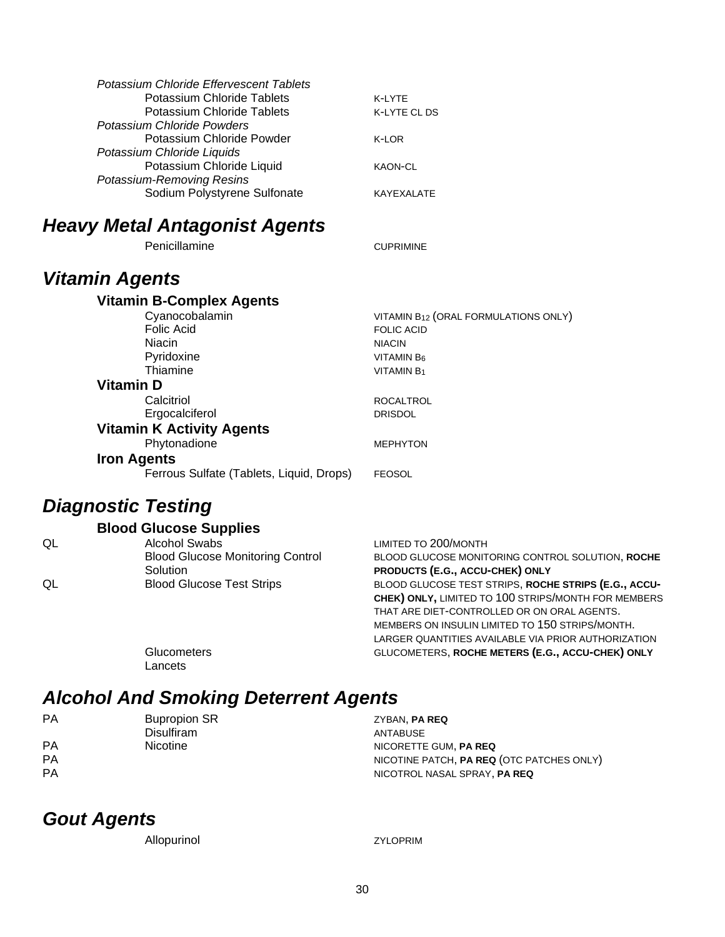| Potassium Chloride Effervescent Tablets |                |
|-----------------------------------------|----------------|
| <b>Potassium Chloride Tablets</b>       | K-I YTF        |
| Potassium Chloride Tablets              | K-LYTE CL DS   |
| Potassium Chloride Powders              |                |
| Potassium Chloride Powder               | K-LOR          |
| Potassium Chloride Liquids              |                |
| Potassium Chloride Liquid               | <b>KAON-CL</b> |
| Potassium-Removing Resins               |                |
| Sodium Polystyrene Sulfonate            | KAYFXAI ATF    |
|                                         |                |

### *Heavy Metal Antagonist Agents*

Penicillamine CUPRIMINE

### *Vitamin Agents*

**Vitamin B-Complex Agents** Cyanocobalamin VITAMIN B<sub>12</sub> (ORAL FORMULATIONS ONLY) Folic Acid FOLIC ACID Niacin Niacin Niacin Niacin Niacin Niacin Niacin Niacin Niacin Niacin Niacin Niacin Niacin Niacin Niacin Niacin Niacin Niacin Niacin Niacin Niacin Niacin Niacin Niacin Niacin Niacin Niacin Niacin Niacin Niacin Niacin Niaci Pyridoxine  $VITAMIN B<sub>6</sub>$ <br>Thiamine  $VITAMIN B<sub>1</sub>$ VITAMIN B<sub>1</sub> **Vitamin D** Calcitriol **Calcitriol** ROCALTROL Ergocalciferol DRISDOL **Vitamin K Activity Agents** Phytonadione MEPHYTON **Iron Agents** Ferrous Sulfate (Tablets, Liquid, Drops) FEOSOL

### *Diagnostic Testing*

|    | <b>Blood Glucose Supplies</b>           |                                                      |
|----|-----------------------------------------|------------------------------------------------------|
| QL | <b>Alcohol Swabs</b>                    | LIMITED TO 200/MONTH                                 |
|    | <b>Blood Glucose Monitoring Control</b> | BLOOD GLUCOSE MONITORING CONTROL SOLUTION, ROCHE     |
|    | Solution                                | PRODUCTS (E.G., ACCU-CHEK) ONLY                      |
| QL | <b>Blood Glucose Test Strips</b>        | BLOOD GLUCOSE TEST STRIPS, ROCHE STRIPS (E.G., ACCU- |
|    |                                         | CHEK) ONLY, LIMITED TO 100 STRIPS/MONTH FOR MEMBERS  |
|    |                                         | THAT ARE DIET-CONTROLLED OR ON ORAL AGENTS.          |
|    |                                         | MEMBERS ON INSULIN LIMITED TO 150 STRIPS/MONTH.      |

Glucometers GLUCOMETERS, **ROCHE METERS (E.G., ACCU-CHEK) ONLY** Lancets

### *Alcohol And Smoking Deterrent Agents*

| PA        | <b>Bupropion SR</b> | ZYBAN, PA REQ                             |
|-----------|---------------------|-------------------------------------------|
|           | <b>Disulfiram</b>   | ANTABUSE                                  |
| <b>PA</b> | <b>Nicotine</b>     | NICORETTE GUM. PA REQ                     |
| <b>PA</b> |                     | NICOTINE PATCH, PA REQ (OTC PATCHES ONLY) |
| <b>PA</b> |                     | NICOTROL NASAL SPRAY, PA REQ              |

### *Gout Agents*

Allopurinol ZYLOPRIM

LARGER QUANTITIES AVAILABLE VIA PRIOR AUTHORIZATION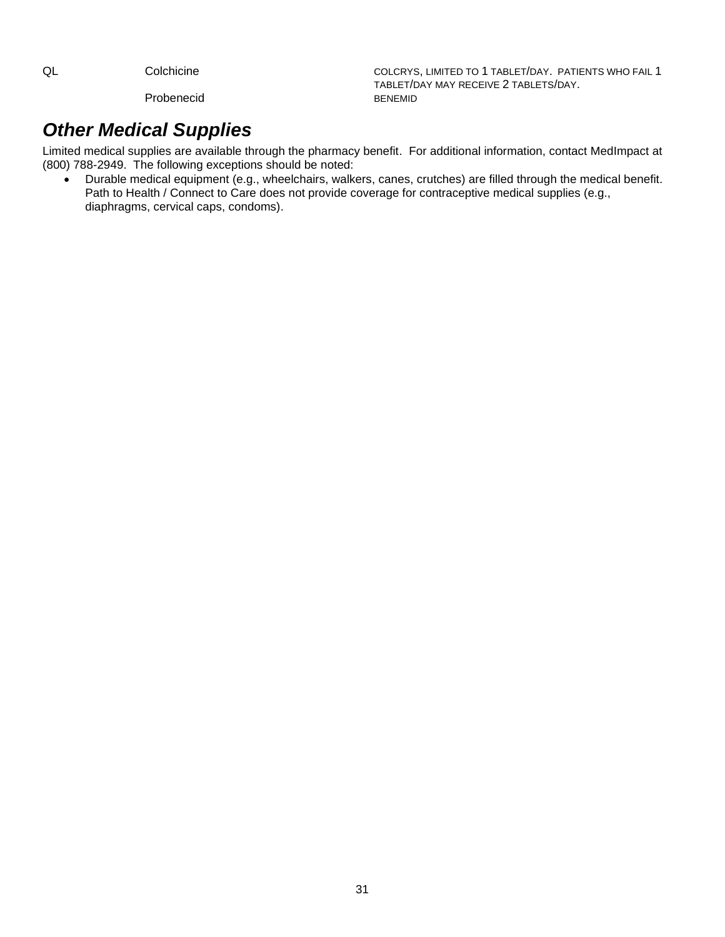Probenecid

QL Colchicine Colchicine Colcrys, LIMITED TO 1 TABLET/DAY. PATIENTS WHO FAIL 1 TABLET/DAY MAY RECEIVE 2 TABLETS/DAY.

### *Other Medical Supplies*

Limited medical supplies are available through the pharmacy benefit. For additional information, contact MedImpact at (800) 788-2949. The following exceptions should be noted:

• Durable medical equipment (e.g., wheelchairs, walkers, canes, crutches) are filled through the medical benefit. Path to Health / Connect to Care does not provide coverage for contraceptive medical supplies (e.g., diaphragms, cervical caps, condoms).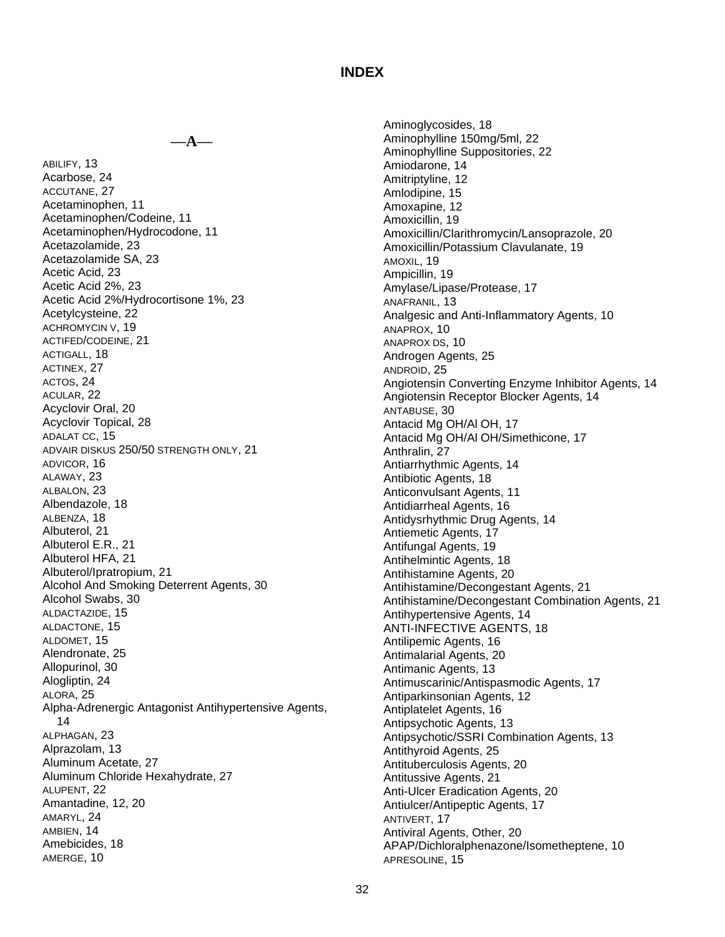#### **INDEX**

**—A—**

ABILIFY, 13 Acarbose, 24 ACCUTANE, 27 Acetaminophen, 11 Acetaminophen/Codeine, 11 Acetaminophen/Hydrocodone, 11 Acetazolamide, 23 Acetazolamide SA, 23 Acetic Acid, 23 Acetic Acid 2%, 23 Acetic Acid 2%/Hydrocortisone 1%, 23 Acetylcysteine, 22 ACHROMYCIN V, 19 ACTIFED/CODEINE, 21 ACTIGALL, 18 ACTINEX, 27 ACTOS, 24 ACULAR, 22 Acyclovir Oral, 20 Acyclovir Topical, 28 ADALAT CC, 15 ADVAIR DISKUS 250/50 STRENGTH ONLY, 21 ADVICOR, 16 ALAWAY, 23 ALBALON, 23 Albendazole, 18 ALBENZA, 18 Albuterol, 21 Albuterol E.R., 21 Albuterol HFA, 21 Albuterol/Ipratropium, 21 Alcohol And Smoking Deterrent Agents, 30 Alcohol Swabs, 30 ALDACTAZIDE, 15 ALDACTONE, 15 ALDOMET, 15 Alendronate, 25 Allopurinol, 30 Alogliptin, 24 ALORA, 25 Alpha-Adrenergic Antagonist Antihypertensive Agents, 14 ALPHAGAN, 23 Alprazolam, 13 Aluminum Acetate, 27 Aluminum Chloride Hexahydrate, 27 ALUPENT, 22 Amantadine, 12, 20 AMARYL, 24 AMBIEN, 14 Amebicides, 18 AMERGE, 10

Aminoglycosides, 18 Aminophylline 150mg/5ml, 22 Aminophylline Suppositories, 22 Amiodarone, 14 Amitriptyline, 12 Amlodipine, 15 Amoxapine, 12 Amoxicillin, 19 Amoxicillin/Clarithromycin/Lansoprazole, 20 Amoxicillin/Potassium Clavulanate, 19 AMOXIL, 19 Ampicillin, 19 Amylase/Lipase/Protease, 17 ANAFRANIL, 13 Analgesic and Anti-Inflammatory Agents, 10 ANAPROX, 10 ANAPROX DS, 10 Androgen Agents, 25 ANDROID, 25 Angiotensin Converting Enzyme Inhibitor Agents, 14 Angiotensin Receptor Blocker Agents, 14 ANTABUSE, 30 Antacid Mg OH/Al OH, 17 Antacid Mg OH/Al OH/Simethicone, 17 Anthralin, 27 Antiarrhythmic Agents, 14 Antibiotic Agents, 18 Anticonvulsant Agents, 11 Antidiarrheal Agents, 16 Antidysrhythmic Drug Agents, 14 Antiemetic Agents, 17 Antifungal Agents, 19 Antihelmintic Agents, 18 Antihistamine Agents, 20 Antihistamine/Decongestant Agents, 21 Antihistamine/Decongestant Combination Agents, 21 Antihypertensive Agents, 14 ANTI-INFECTIVE AGENTS, 18 Antilipemic Agents, 16 Antimalarial Agents, 20 Antimanic Agents, 13 Antimuscarinic/Antispasmodic Agents, 17 Antiparkinsonian Agents, 12 Antiplatelet Agents, 16 Antipsychotic Agents, 13 Antipsychotic/SSRI Combination Agents, 13 Antithyroid Agents, 25 Antituberculosis Agents, 20 Antitussive Agents, 21 Anti-Ulcer Eradication Agents, 20 Antiulcer/Antipeptic Agents, 17 ANTIVERT, 17 Antiviral Agents, Other, 20 APAP/Dichloralphenazone/Isometheptene, 10 APRESOLINE, 15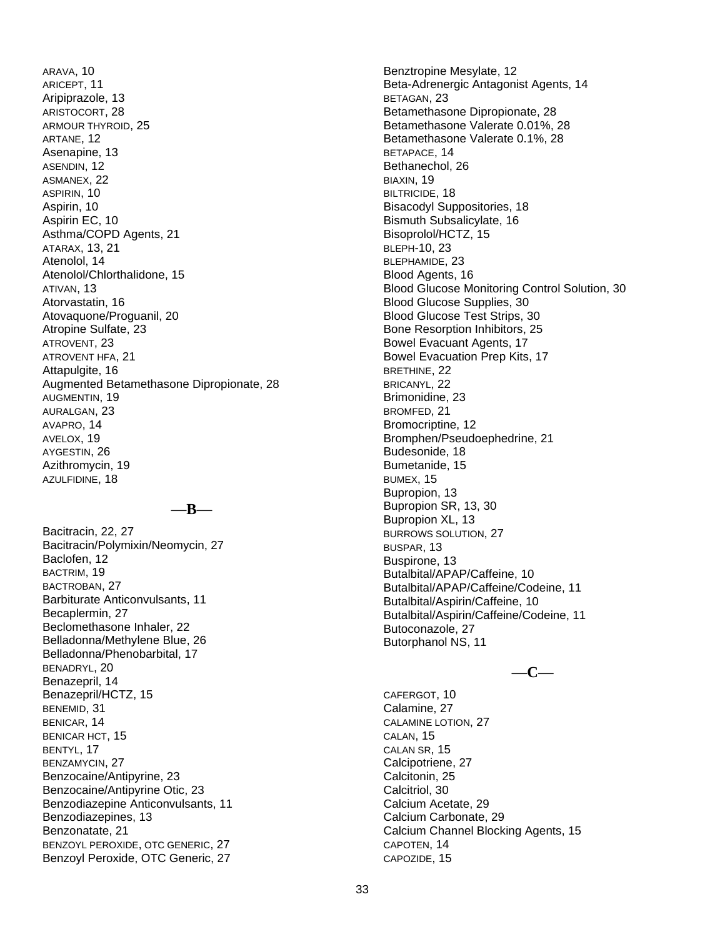ARAVA, 10 ARICEPT, 11 Aripiprazole, 13 ARISTOCORT, 28 ARMOUR THYROID, 25 ARTANE, 12 Asenapine, 13 ASENDIN, 12 ASMANEX, 22 ASPIRIN, 10 Aspirin, 10 Aspirin EC, 10 Asthma/COPD Agents, 21 ATARAX, 13, 21 Atenolol, 14 Atenolol/Chlorthalidone, 15 ATIVAN, 13 Atorvastatin, 16 Atovaquone/Proguanil, 20 Atropine Sulfate, 23 ATROVENT, 23 ATROVENT HFA, 21 Attapulgite, 16 Augmented Betamethasone Dipropionate, 28 AUGMENTIN, 19 AURALGAN, 23 AVAPRO, 14 AVELOX, 19 AYGESTIN, 26 Azithromycin, 19 AZULFIDINE, 18

**—B—**

Bacitracin, 22, 27 Bacitracin/Polymixin/Neomycin, 27 Baclofen, 12 BACTRIM, 19 BACTROBAN, 27 Barbiturate Anticonvulsants, 11 Becaplermin, 27 Beclomethasone Inhaler, 22 Belladonna/Methylene Blue, 26 Belladonna/Phenobarbital, 17 BENADRYL, 20 Benazepril, 14 Benazepril/HCTZ, 15 BENEMID, 31 BENICAR, 14 BENICAR HCT, 15 BENTYL, 17 BENZAMYCIN, 27 Benzocaine/Antipyrine, 23 Benzocaine/Antipyrine Otic, 23 Benzodiazepine Anticonvulsants, 11 Benzodiazepines, 13 Benzonatate, 21 BENZOYL PEROXIDE, OTC GENERIC, 27 Benzoyl Peroxide, OTC Generic, 27 Benztropine Mesylate, 12 Beta-Adrenergic Antagonist Agents, 14 BETAGAN, 23 Betamethasone Dipropionate, 28 Betamethasone Valerate 0.01%, 28 Betamethasone Valerate 0.1%, 28 BETAPACE, 14 Bethanechol, 26 BIAXIN, 19 BILTRICIDE, 18 Bisacodyl Suppositories, 18 Bismuth Subsalicylate, 16 Bisoprolol/HCTZ, 15 BLEPH-10, 23 BLEPHAMIDE, 23 Blood Agents, 16 Blood Glucose Monitoring Control Solution, 30 Blood Glucose Supplies, 30 Blood Glucose Test Strips, 30 Bone Resorption Inhibitors, 25 Bowel Evacuant Agents, 17 Bowel Evacuation Prep Kits, 17 BRETHINE, 22 BRICANYL, 22 Brimonidine, 23 BROMFED, 21 Bromocriptine, 12 Bromphen/Pseudoephedrine, 21 Budesonide, 18 Bumetanide, 15 BUMEX, 15 Bupropion, 13 Bupropion SR, 13, 30 Bupropion XL, 13 BURROWS SOLUTION, 27 BUSPAR, 13 Buspirone, 13 Butalbital/APAP/Caffeine, 10 Butalbital/APAP/Caffeine/Codeine, 11 Butalbital/Aspirin/Caffeine, 10 Butalbital/Aspirin/Caffeine/Codeine, 11 Butoconazole, 27 Butorphanol NS, 11

**—C—**

CAFERGOT, 10 Calamine, 27 CALAMINE LOTION, 27 CALAN, 15 CALAN SR, 15 Calcipotriene, 27 Calcitonin, 25 Calcitriol, 30 Calcium Acetate, 29 Calcium Carbonate, 29 Calcium Channel Blocking Agents, 15 CAPOTEN, 14 CAPOZIDE, 15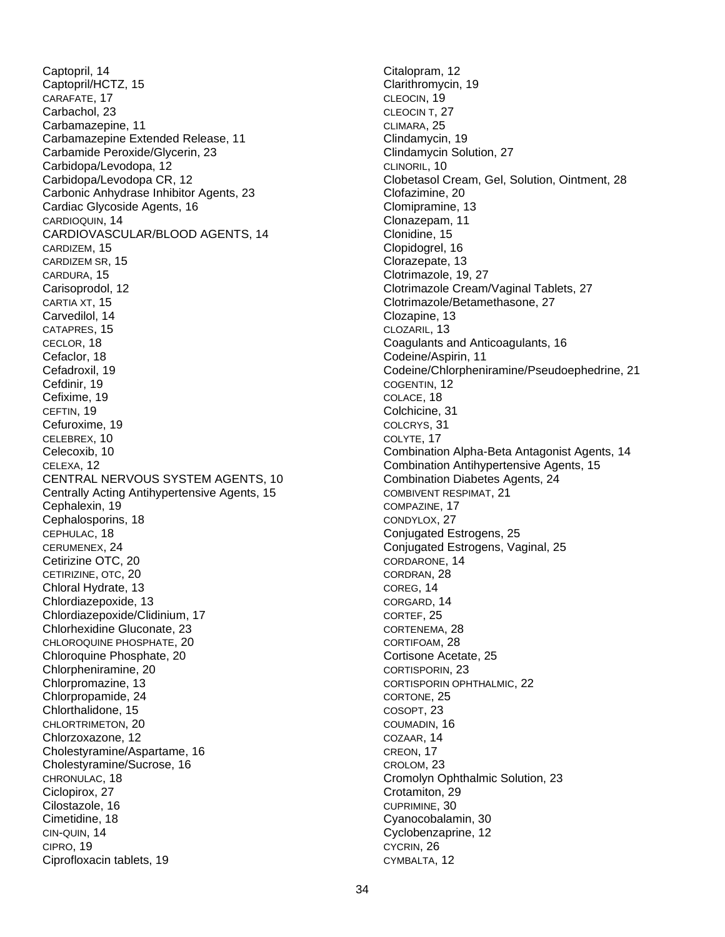Captopril, 14 Captopril/HCTZ, 15 CARAFATE, 17 Carbachol, 23 Carbamazepine, 11 Carbamazepine Extended Release, 11 Carbamide Peroxide/Glycerin, 23 Carbidopa/Levodopa, 12 Carbidopa/Levodopa CR, 12 Carbonic Anhydrase Inhibitor Agents, 23 Cardiac Glycoside Agents, 16 CARDIOQUIN, 14 CARDIOVASCULAR/BLOOD AGENTS, 14 CARDIZEM, 15 CARDIZEM SR, 15 CARDURA, 15 Carisoprodol, 12 CARTIA XT, 15 Carvedilol, 14 CATAPRES, 15 CECLOR, 18 Cefaclor, 18 Cefadroxil, 19 Cefdinir, 19 Cefixime, 19 CEFTIN, 19 Cefuroxime, 19 CELEBREX, 10 Celecoxib, 10 CELEXA, 12 CENTRAL NERVOUS SYSTEM AGENTS, 10 Centrally Acting Antihypertensive Agents, 15 Cephalexin, 19 Cephalosporins, 18 CEPHULAC, 18 CERUMENEX, 24 Cetirizine OTC, 20 CETIRIZINE, OTC, 20 Chloral Hydrate, 13 Chlordiazepoxide, 13 Chlordiazepoxide/Clidinium, 17 Chlorhexidine Gluconate, 23 CHLOROQUINE PHOSPHATE, 20 Chloroquine Phosphate, 20 Chlorpheniramine, 20 Chlorpromazine, 13 Chlorpropamide, 24 Chlorthalidone, 15 CHLORTRIMETON, 20 Chlorzoxazone, 12 Cholestyramine/Aspartame, 16 Cholestyramine/Sucrose, 16 CHRONULAC, 18 Ciclopirox, 27 Cilostazole, 16 Cimetidine, 18 CIN-QUIN, 14 CIPRO, 19 Ciprofloxacin tablets, 19

Citalopram, 12 Clarithromycin, 19 CLEOCIN, 19 CLEOCIN T, 27 CLIMARA, 25 Clindamycin, 19 Clindamycin Solution, 27 CLINORIL, 10 Clobetasol Cream, Gel, Solution, Ointment, 28 Clofazimine, 20 Clomipramine, 13 Clonazepam, 11 Clonidine, 15 Clopidogrel, 16 Clorazepate, 13 Clotrimazole, 19, 27 Clotrimazole Cream/Vaginal Tablets, 27 Clotrimazole/Betamethasone, 27 Clozapine, 13 CLOZARIL, 13 Coagulants and Anticoagulants, 16 Codeine/Aspirin, 11 Codeine/Chlorpheniramine/Pseudoephedrine, 21 COGENTIN, 12 COLACE, 18 Colchicine, 31 COLCRYS, 31 COLYTE, 17 Combination Alpha-Beta Antagonist Agents, 14 Combination Antihypertensive Agents, 15 Combination Diabetes Agents, 24 COMBIVENT RESPIMAT, 21 COMPAZINE, 17 CONDYLOX, 27 Conjugated Estrogens, 25 Conjugated Estrogens, Vaginal, 25 CORDARONE, 14 CORDRAN, 28 COREG, 14 CORGARD, 14 CORTEF, 25 CORTENEMA, 28 CORTIFOAM, 28 Cortisone Acetate, 25 CORTISPORIN, 23 CORTISPORIN OPHTHALMIC, 22 CORTONE, 25 COSOPT, 23 COUMADIN, 16 COZAAR, 14 CREON, 17 CROLOM, 23 Cromolyn Ophthalmic Solution, 23 Crotamiton, 29 CUPRIMINE, 30 Cyanocobalamin, 30 Cyclobenzaprine, 12 CYCRIN, 26 CYMBALTA, 12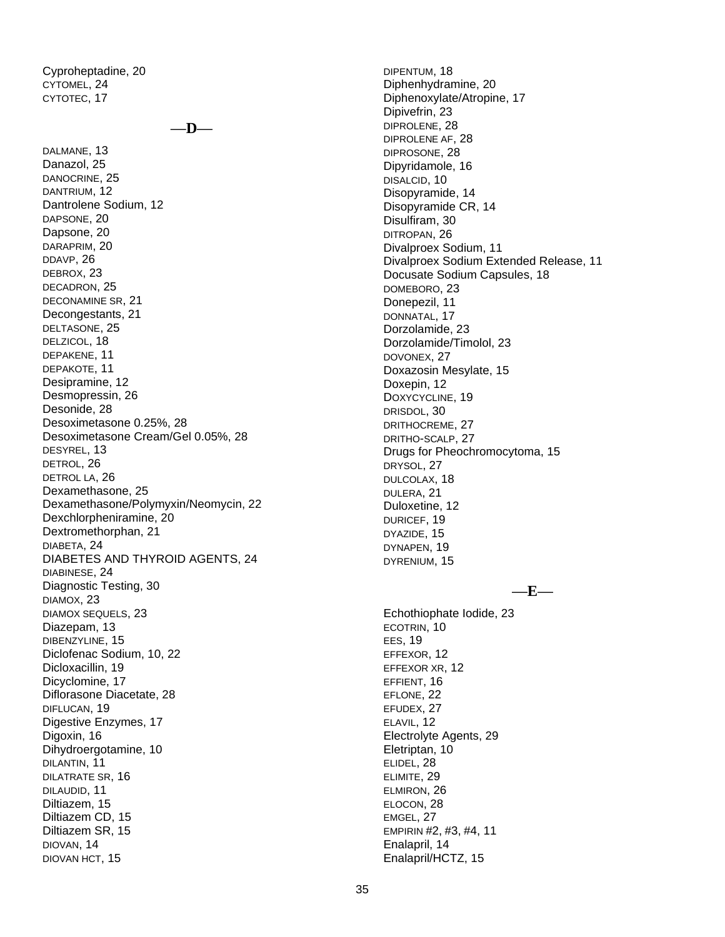Cyproheptadine, 20 CYTOMEL, 24 CYTOTEC, 17

**—D—**

DALMANE, 13 Danazol, 25 DANOCRINE, 25 DANTRIUM, 12 Dantrolene Sodium, 12 DAPSONE, 20 Dapsone, 20 DARAPRIM, 20 DDAVP, 26 DEBROX, 23 DECADRON, 25 DECONAMINE SR, 21 Decongestants, 21 DELTASONE, 25 DELZICOL, 18 DEPAKENE, 11 DEPAKOTE, 11 Desipramine, 12 Desmopressin, 26 Desonide, 28 Desoximetasone 0.25%, 28 Desoximetasone Cream/Gel 0.05%, 28 DESYREL, 13 DETROL, 26 DETROL LA, 26 Dexamethasone, 25 Dexamethasone/Polymyxin/Neomycin, 22 Dexchlorpheniramine, 20 Dextromethorphan, 21 DIABETA, 24 DIABETES AND THYROID AGENTS, 24 DIABINESE, 24 Diagnostic Testing, 30 DIAMOX, 23 DIAMOX SEQUELS, 23 Diazepam, 13 DIBENZYLINE, 15 Diclofenac Sodium, 10, 22 Dicloxacillin, 19 Dicyclomine, 17 Diflorasone Diacetate, 28 DIFLUCAN, 19 Digestive Enzymes, 17 Digoxin, 16 Dihydroergotamine, 10 DILANTIN, 11 DILATRATE SR, 16 DILAUDID, 11 Diltiazem, 15 Diltiazem CD, 15 Diltiazem SR, 15 DIOVAN, 14 DIOVAN HCT, 15

DIPENTUM, 18 Diphenhydramine, 20 Diphenoxylate/Atropine, 17 Dipivefrin, 23 DIPROLENE, 28 DIPROLENE AF, 28 DIPROSONE, 28 Dipyridamole, 16 DISALCID, 10 Disopyramide, 14 Disopyramide CR, 14 Disulfiram, 30 DITROPAN, 26 Divalproex Sodium, 11 Divalproex Sodium Extended Release, 11 Docusate Sodium Capsules, 18 DOMEBORO, 23 Donepezil, 11 DONNATAL, 17 Dorzolamide, 23 Dorzolamide/Timolol, 23 DOVONEX, 27 Doxazosin Mesylate, 15 Doxepin, 12 DOXYCYCLINE, 19 DRISDOL, 30 DRITHOCREME, 27 DRITHO-SCALP, 27 Drugs for Pheochromocytoma, 15 DRYSOL, 27 DULCOLAX, 18 DULERA, 21 Duloxetine, 12 DURICEF, 19 DYAZIDE, 15 DYNAPEN, 19 DYRENIUM, 15 **—E—** Echothiophate Iodide, 23 ECOTRIN, 10 EES, 19 EFFEXOR, 12 EFFEXOR XR, 12 EFFIENT, 16 EFLONE, 22 EFUDEX, 27 ELAVIL, 12 Electrolyte Agents, 29 Eletriptan, 10 ELIDEL, 28 ELIMITE, 29 ELMIRON, 26 ELOCON, 28

EMGEL, 27

Enalapril, 14 Enalapril/HCTZ, 15

EMPIRIN #2, #3, #4, 11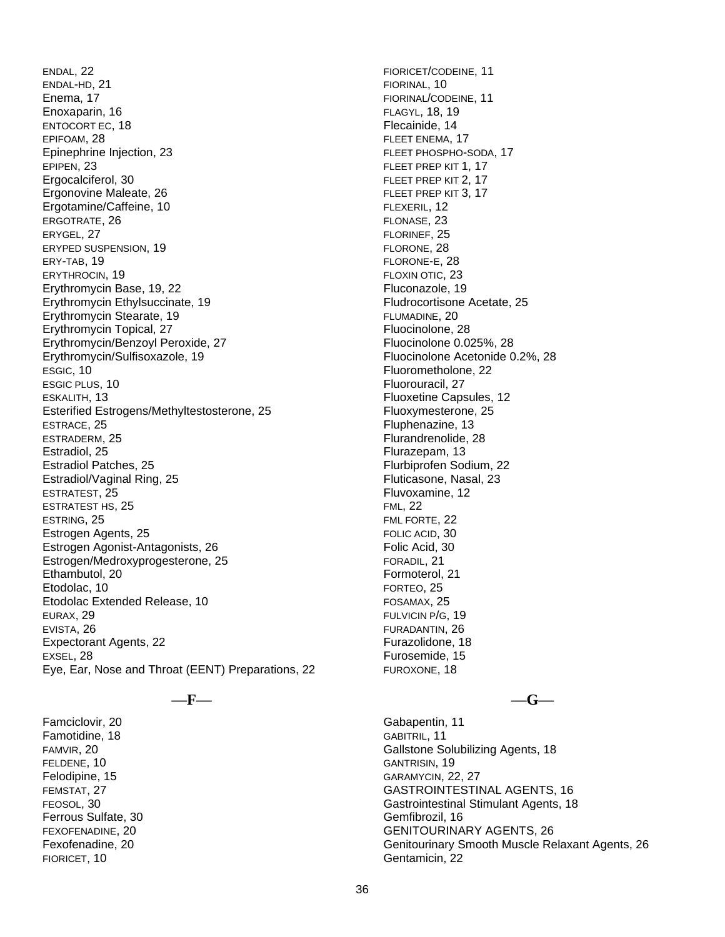ENDAL, 22 ENDAL-HD, 21 Enema, 17 Enoxaparin, 16 ENTOCORT EC, 18 EPIFOAM, 28 Epinephrine Injection, 23 EPIPEN, 23 Ergocalciferol, 30 Ergonovine Maleate, 26 Ergotamine/Caffeine, 10 ERGOTRATE, 26 ERYGEL, 27 ERYPED SUSPENSION, 19 ERY-TAB, 19 ERYTHROCIN, 19 Erythromycin Base, 19, 22 Erythromycin Ethylsuccinate, 19 Erythromycin Stearate, 19 Erythromycin Topical, 27 Erythromycin/Benzoyl Peroxide, 27 Erythromycin/Sulfisoxazole, 19 ESGIC, 10 ESGIC PLUS, 10 ESKALITH, 13 Esterified Estrogens/Methyltestosterone, 25 ESTRACE, 25 ESTRADERM, 25 Estradiol, 25 Estradiol Patches, 25 Estradiol/Vaginal Ring, 25 ESTRATEST, 25 ESTRATEST HS, 25 ESTRING, 25 Estrogen Agents, 25 Estrogen Agonist-Antagonists, 26 Estrogen/Medroxyprogesterone, 25 Ethambutol, 20 Etodolac, 10 Etodolac Extended Release, 10 EURAX, 29 EVISTA, 26 Expectorant Agents, 22 EXSEL, 28 Eye, Ear, Nose and Throat (EENT) Preparations, 22

**—F—**

Famciclovir, 20 Famotidine, 18 FAMVIR, 20 FELDENE, 10 Felodipine, 15 FEMSTAT, 27 FEOSOL, 30 Ferrous Sulfate, 30 FEXOFENADINE, 20 Fexofenadine, 20 FIORICET, 10

FIORICET/CODEINE, 11 FIORINAL, 10 FIORINAL/CODEINE, 11 FLAGYL, 18, 19 Flecainide, 14 FLEET ENEMA, 17 FLEET PHOSPHO-SODA, 17 FLEET PREP KIT 1, 17 FLEET PREP KIT 2, 17 FLEET PREP KIT 3, 17 FLEXERIL, 12 FLONASE, 23 FLORINEF, 25 FLORONE, 28 FLORONE-E, 28 FLOXIN OTIC, 23 Fluconazole, 19 Fludrocortisone Acetate, 25 FLUMADINE, 20 Fluocinolone, 28 Fluocinolone 0.025%, 28 Fluocinolone Acetonide 0.2%, 28 Fluorometholone, 22 Fluorouracil, 27 Fluoxetine Capsules, 12 Fluoxymesterone, 25 Fluphenazine, 13 Flurandrenolide, 28 Flurazepam, 13 Flurbiprofen Sodium, 22 Fluticasone, Nasal, 23 Fluvoxamine, 12 FML, 22 FML FORTE, 22 FOLIC ACID, 30 Folic Acid, 30 FORADIL, 21 Formoterol, 21 FORTEO, 25 FOSAMAX, 25 FULVICIN P/G, 19 FURADANTIN, 26 Furazolidone, 18 Furosemide, 15

**—G—**

Gabapentin, 11 GABITRIL, 11 Gallstone Solubilizing Agents, 18 GANTRISIN, 19 GARAMYCIN, 22, 27 GASTROINTESTINAL AGENTS, 16 Gastrointestinal Stimulant Agents, 18 Gemfibrozil, 16 GENITOURINARY AGENTS, 26 Genitourinary Smooth Muscle Relaxant Agents, 26 Gentamicin, 22

FUROXONE, 18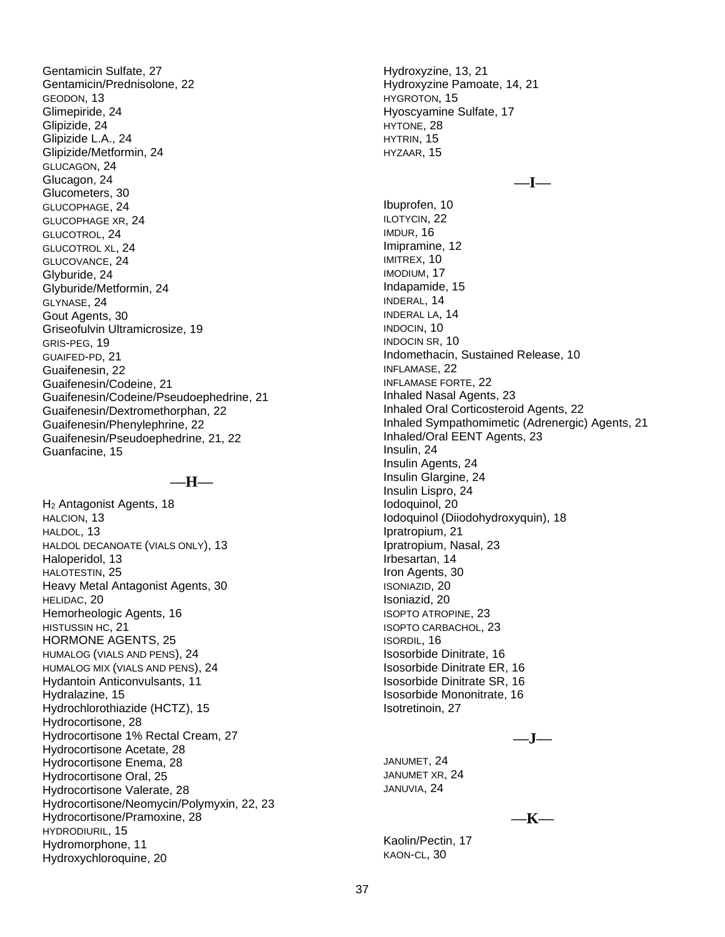Gentamicin Sulfate, 27 Gentamicin/Prednisolone, 22 GEODON, 13 Glimepiride, 24 Glipizide, 24 Glipizide L.A., 24 Glipizide/Metformin, 24 GLUCAGON, 24 Glucagon, 24 Glucometers, 30 GLUCOPHAGE, 24 GLUCOPHAGE XR, 24 GLUCOTROL, 24 GLUCOTROL XL, 24 GLUCOVANCE, 24 Glyburide, 24 Glyburide/Metformin, 24 GLYNASE, 24 Gout Agents, 30 Griseofulvin Ultramicrosize, 19 GRIS-PEG, 19 GUAIFED-PD, 21 Guaifenesin, 22 Guaifenesin/Codeine, 21 Guaifenesin/Codeine/Pseudoephedrine, 21 Guaifenesin/Dextromethorphan, 22 Guaifenesin/Phenylephrine, 22 Guaifenesin/Pseudoephedrine, 21, 22 Guanfacine, 15

#### **—H—**

H<sup>2</sup> Antagonist Agents, 18 HALCION, 13 HALDOL, 13 HALDOL DECANOATE (VIALS ONLY), 13 Haloperidol, 13 HALOTESTIN, 25 Heavy Metal Antagonist Agents, 30 HELIDAC, 20 Hemorheologic Agents, 16 HISTUSSIN HC, 21 HORMONE AGENTS, 25 HUMALOG (VIALS AND PENS), 24 HUMALOG MIX (VIALS AND PENS), 24 Hydantoin Anticonvulsants, 11 Hydralazine, 15 Hydrochlorothiazide (HCTZ), 15 Hydrocortisone, 28 Hydrocortisone 1% Rectal Cream, 27 Hydrocortisone Acetate, 28 Hydrocortisone Enema, 28 Hydrocortisone Oral, 25 Hydrocortisone Valerate, 28 Hydrocortisone/Neomycin/Polymyxin, 22, 23 Hydrocortisone/Pramoxine, 28 HYDRODIURIL, 15 Hydromorphone, 11 Hydroxychloroquine, 20

Hydroxyzine, 13, 21 Hydroxyzine Pamoate, 14, 21 HYGROTON, 15 Hyoscyamine Sulfate, 17 HYTONE, 28 HYTRIN, 15 HYZAAR, 15 **—I—** Ibuprofen, 10 ILOTYCIN, 22 IMDUR, 16 Imipramine, 12 IMITREX, 10 IMODIUM, 17 Indapamide, 15 INDERAL, 14 INDERAL LA, 14 INDOCIN, 10 INDOCIN SR, 10 Indomethacin, Sustained Release, 10 INFLAMASE, 22 INFLAMASE FORTE, 22 Inhaled Nasal Agents, 23 Inhaled Oral Corticosteroid Agents, 22 Inhaled Sympathomimetic (Adrenergic) Agents, 21 Inhaled/Oral EENT Agents, 23 Insulin, 24 Insulin Agents, 24 Insulin Glargine, 24 Insulin Lispro, 24 Iodoquinol, 20 Iodoquinol (Diiodohydroxyquin), 18 Ipratropium, 21 Ipratropium, Nasal, 23 Irbesartan, 14 Iron Agents, 30 ISONIAZID, 20 Isoniazid, 20 ISOPTO ATROPINE, 23 ISOPTO CARBACHOL, 23 ISORDIL, 16 Isosorbide Dinitrate, 16 Isosorbide Dinitrate ER, 16 Isosorbide Dinitrate SR, 16 Isosorbide Mononitrate, 16 Isotretinoin, 27

**—J—**

JANUMET, 24 JANUMET XR, 24 JANUVIA, 24

**—K—**

Kaolin/Pectin, 17 KAON-CL, 30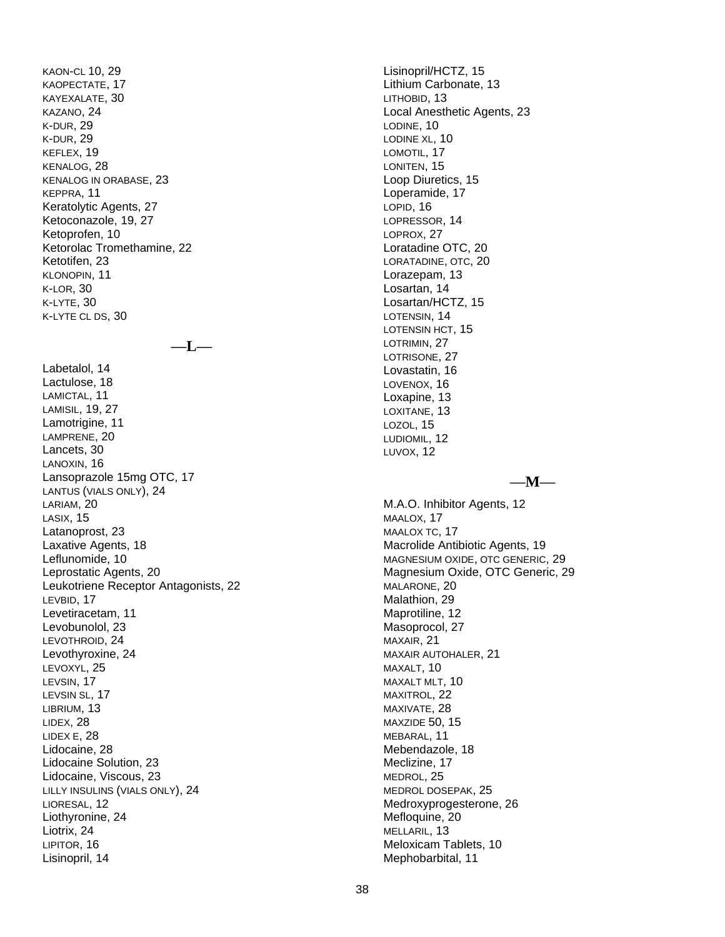KAON -CL 10, 29 KAOPECTATE, 17 KAYEXALATE, 30 KAZANO, 24 K-DUR, 29 K-DUR, 29 KEFLEX, 19 KENALOG, 28 KENALOG IN ORABASE, 23 KEPPRA, 11 Keratolytic Agents, 27 Ketoconazole, 19, 27 Ketoprofen, 10 Ketorolac Tromethamine, 22 Ketotifen, 23 KLONOPIN, 11 K-LOR, 30 K-LYTE, 30 K-LYTE CL DS, 30

**— L —**

Labetalol, 14 Lactulose, 18 LAMICTAL, 11 LAMISIL, 19, 27 Lamotrigine, 11 LAMPRENE, 20 Lancets, 30 LANOXIN, 16 Lansoprazole 15mg OTC, 17 LANTUS (VIALS ONLY ), 24 LARIAM, 20 LASIX, 15 Latanoprost, 23 Laxative Agents, 18 Leflunomide, 10 Leprostatic Agents, 20 Leukotriene Receptor Antagonists, 22 LEVBID, 17 Levetiracetam, 11 Levobunolol, 23 LEVOTHROID, 24 Levothyroxine, 24 LEVOXY L, 25 LEVSIN, 17 LEVSIN SL, 17 LIBRIUM, 13 LIDEX, 28 LIDEX E, 28 Lidocaine, 28 Lidocaine Solution, 23 Lidocaine, Viscous, 23 LILLY INSULINS (VIALS ONLY ), 24 LIORESAL, 12 Liothyronine, 24 Liotrix, 24 LIPITOR, 16 Lisinopril, 14

Lisinopril/HCTZ, 15 Lithium Carbonate, 13 LITHOBID, 13 Local Anesthetic Agents, 23 LODINE, 10 LODINE XL, 10 LOMOTIL, 17 LONITEN, 15 Loop Diuretics, 15 Loperamide, 17 LOPID, 16 LOPRESSOR, 14 LOPROX, 27 Loratadine OTC, 20 LORATADINE , OTC, 20 Lorazepam, 13 Losartan, 14 Losartan/HCTZ, 15 LOTENSIN, 14 LOTENSIN HCT, 15 LOTRIMIN, 27 LOTRISONE, 27 Lovastatin, 16 LOVENOX, 16 Loxapine, 13 LOXITANE , 13 LOZOL, 15 LUDIOMIL, 12 LUVOX, 12

**— M —**

M.A.O. Inhibitor Agents, 12 MAALOX, 17 MAALOX TC, 17 Macrolide Antibiotic Agents, 19 MAGNESIUM OXIDE , OTC GENERIC, 29 Magnesium Oxide, OTC Generic, 29 MALARONE, 20 Malathion, 29 Maprotiline, 12 Masoprocol, 27 MAXAIR, 21 MAXAIR AUTOHALER, 21 MAXALT, 10 MAXALT MLT, 10 MAXITROL, 22 MAXIVATE, 28 MAXZIDE 50, 15 MEBARAL, 11 Mebendazole, 18 Meclizine, 17 MEDROL, 25 MEDROL DOSEPAK, 25 Medroxyprogesterone, 26 Mefloquine, 20 MELLARIL, 13 Meloxicam Tablets, 10 Mephobarbital, 11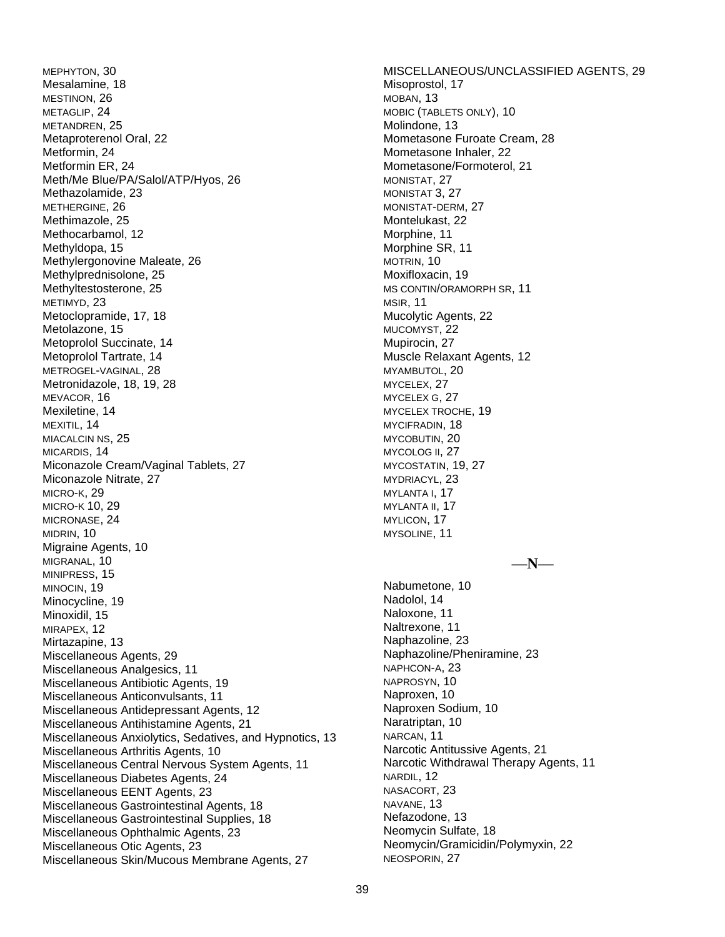MEPHYTON, 30 Mesalamine, 18 MESTINON, 26 METAGLIP, 24 METANDREN, 25 Metaproterenol Oral, 22 Metformin, 24 Metformin ER, 24 Meth/Me Blue/PA/Salol/ATP/Hyos, 26 Methazolamide, 23 METHERGINE, 26 Methimazole, 25 Methocarbamol, 12 Methyldopa, 15 Methylergonovine Maleate, 26 Methylprednisolone, 25 Methyltestosterone, 25 METIMYD, 23 Metoclopramide, 17, 18 Metolazone, 15 Metoprolol Succinate, 14 Metoprolol Tartrate, 14 METROGEL-VAGINAL, 28 Metronidazole, 18, 19, 28 MEVACOR, 16 Mexiletine, 14 MEXITIL, 14 MIACALCIN NS, 25 MICARDIS, 14 Miconazole Cream/Vaginal Tablets, 27 Miconazole Nitrate, 27 MICRO-K, 29 MICRO-K 10, 29 MICRONASE, 24 MIDRIN, 10 Migraine Agents, 10 MIGRANAL, 10 MINIPRESS, 15 MINOCIN, 19 Minocycline, 19 Minoxidil, 15 MIRAPEX, 12 Mirtazapine, 13 Miscellaneous Agents, 29 Miscellaneous Analgesics, 11 Miscellaneous Antibiotic Agents, 19 Miscellaneous Anticonvulsants, 11 Miscellaneous Antidepressant Agents, 12 Miscellaneous Antihistamine Agents, 21 Miscellaneous Anxiolytics, Sedatives, and Hypnotics, 13 Miscellaneous Arthritis Agents, 10 Miscellaneous Central Nervous System Agents, 11 Miscellaneous Diabetes Agents, 24 Miscellaneous EENT Agents, 23 Miscellaneous Gastrointestinal Agents, 18 Miscellaneous Gastrointestinal Supplies, 18 Miscellaneous Ophthalmic Agents, 23 Miscellaneous Otic Agents, 23 Miscellaneous Skin/Mucous Membrane Agents, 27

MISCELLANEOUS/UNCLASSIFIED AGENTS, 29 Misoprostol, 17 MOBAN, 13 MOBIC (TABLETS ONLY), 10 Molindone, 13 Mometasone Furoate Cream, 28 Mometasone Inhaler, 22 Mometasone/Formoterol, 21 MONISTAT, 27 MONISTAT 3, 27 MONISTAT-DERM, 27 Montelukast, 22 Morphine, 11 Morphine SR, 11 MOTRIN, 10 Moxifloxacin, 19 MS CONTIN/ORAMORPH SR, 11 MSIR, 11 Mucolytic Agents, 22 MUCOMYST, 22 Mupirocin, 27 Muscle Relaxant Agents, 12 MYAMBUTOL, 20 MYCELEX, 27 MYCELEX G, 27 MYCELEX TROCHE, 19 MYCIFRADIN, 18 MYCOBUTIN, 20 MYCOLOG II, 27 MYCOSTATIN, 19, 27 MYDRIACYL, 23 MYLANTA I, 17 MYLANTA II, 17 MYLICON, 17 MYSOLINE, 11 **—N—** Nabumetone, 10 Nadolol, 14 Naloxone, 11 Naltrexone, 11 Naphazoline, 23 Naphazoline/Pheniramine, 23 NAPHCON-A, 23 NAPROSYN, 10 Naproxen, 10 Naproxen Sodium, 10 Naratriptan, 10 NARCAN, 11 Narcotic Antitussive Agents, 21 Narcotic Withdrawal Therapy Agents, 11 NARDIL, 12 NASACORT, 23 NAVANE, 13 Nefazodone, 13 Neomycin Sulfate, 18 Neomycin/Gramicidin/Polymyxin, 22 NEOSPORIN, 27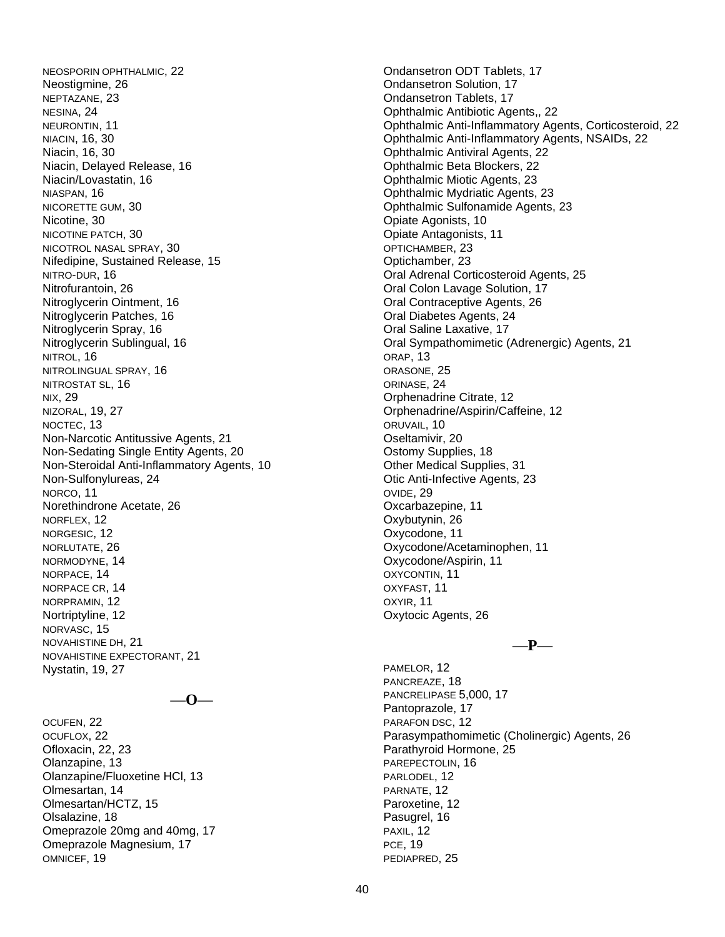NEOSPORIN OPHTHALMIC, 22 Neostigmine, 26 NEPTAZANE, 23 NESINA, 24 NEURONTIN, 11 NIACIN, 16, 30 Niacin, 16, 30 Niacin, Delayed Release, 16 Niacin/Lovastatin, 16 NIASPAN, 16 NICORETTE GUM, 30 Nicotine, 30 NICOTINE PATCH, 30 NICOTROL NASAL SPRAY, 30 Nifedipine, Sustained Release, 15 NITRO-DUR, 16 Nitrofurantoin, 26 Nitroglycerin Ointment, 16 Nitroglycerin Patches, 16 Nitroglycerin Spray, 16 Nitroglycerin Sublingual, 16 NITROL, 16 NITROLINGUAL SPRAY, 16 NITROSTAT SL, 16 NIX, 29 NIZORAL, 19, 27 NOCTEC, 13 Non-Narcotic Antitussive Agents, 21 Non-Sedating Single Entity Agents, 20 Non-Steroidal Anti-Inflammatory Agents, 10 Non-Sulfonylureas, 24 NORCO, 11 Norethindrone Acetate, 26 NORFLEX, 12 NORGESIC, 12 NORLUTATE, 26 NORMODYNE, 14 NORPACE, 14 NORPACE CR, 14 NORPRAMIN, 12 Nortriptyline, 12 NORVASC, 15 NOVAHISTINE DH, 21 NOVAHISTINE EXPECTORANT, 21 Nystatin, 19, 27

**—O—**

OCUFEN, 22 OCUFLOX, 22 Ofloxacin, 22, 23 Olanzapine, 13 Olanzapine/Fluoxetine HCl, 13 Olmesartan, 14 Olmesartan/HCTZ, 15 Olsalazine, 18 Omeprazole 20mg and 40mg, 17 Omeprazole Magnesium, 17 OMNICEF, 19

Ondansetron ODT Tablets, 17 Ondansetron Solution, 17 Ondansetron Tablets, 17 Ophthalmic Antibiotic Agents,, 22 Ophthalmic Anti-Inflammatory Agents, Corticosteroid, 22 Ophthalmic Anti-Inflammatory Agents, NSAIDs, 22 Ophthalmic Antiviral Agents, 22 Ophthalmic Beta Blockers, 22 Ophthalmic Miotic Agents, 23 Ophthalmic Mydriatic Agents, 23 Ophthalmic Sulfonamide Agents, 23 Opiate Agonists, 10 Opiate Antagonists, 11 OPTICHAMBER, 23 Optichamber, 23 Oral Adrenal Corticosteroid Agents, 25 Oral Colon Lavage Solution, 17 Oral Contraceptive Agents, 26 Oral Diabetes Agents, 24 Oral Saline Laxative, 17 Oral Sympathomimetic (Adrenergic) Agents, 21 ORAP, 13 ORASONE, 25 ORINASE, 24 Orphenadrine Citrate, 12 Orphenadrine/Aspirin/Caffeine, 12 ORUVAIL, 10 Oseltamivir, 20 Ostomy Supplies, 18 Other Medical Supplies, 31 Otic Anti-Infective Agents, 23 OVIDE, 29 Oxcarbazepine, 11 Oxybutynin, 26 Oxycodone, 11 Oxycodone/Acetaminophen, 11 Oxycodone/Aspirin, 11 OXYCONTIN, 11 OXYFAST, 11 OXYIR, 11 Oxytocic Agents, 26

**—P—**

PAMELOR, 12 PANCREAZE, 18 PANCRELIPASE 5,000, 17 Pantoprazole, 17 PARAFON DSC, 12 Parasympathomimetic (Cholinergic) Agents, 26 Parathyroid Hormone, 25 PAREPECTOLIN, 16 PARLODEL, 12 PARNATE, 12 Paroxetine, 12 Pasugrel, 16 PAXIL, 12 PCE, 19 PEDIAPRED, 25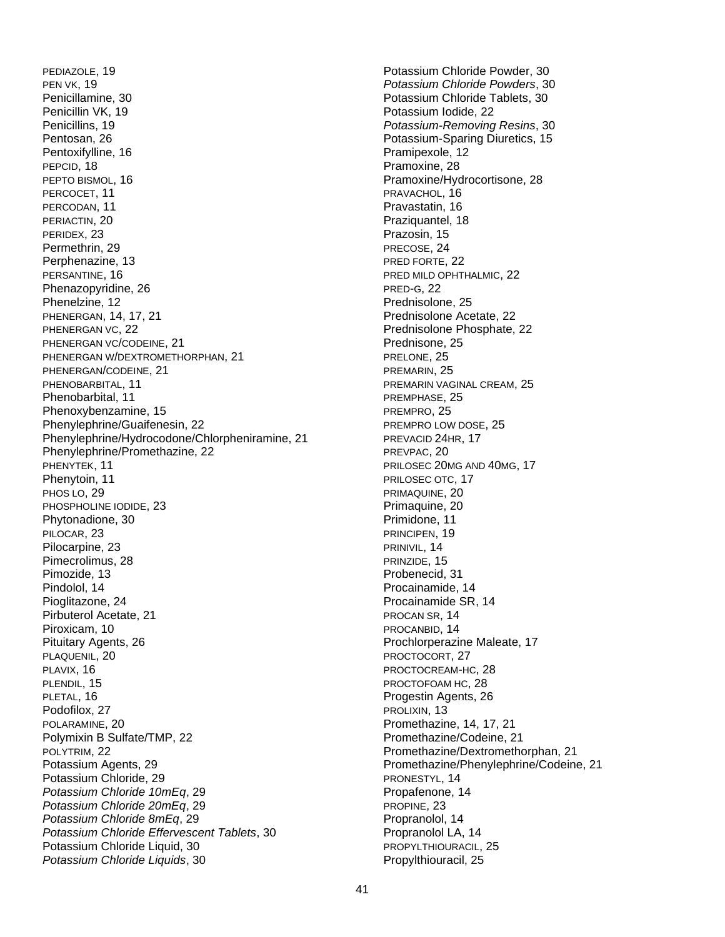PEDIAZOLE, 19 PEN VK, 19 Penicillamine, 30 Penicillin VK, 19 Penicillins, 19 Pentosan, 26 Pentoxifylline, 16 PEPCID, 18 PEPTO BISMOL, 16 PERCOCET, 11 PERCODAN, 11 PERIACTIN, 20 PERIDEX, 23 Permethrin, 29 Perphenazine, 13 PERSANTINE, 16 Phenazopyridine, 26 Phenelzine, 12 PHENERGAN, 14, 17, 21 PHENERGAN VC, 22 PHENERGAN VC/CODEINE, 21 PHENERGAN W/DEXTROMETHORPHAN, 21 PHENERGAN/CODEINE, 21 PHENOBARBITAL, 11 Phenobarbital, 11 Phenoxybenzamine, 15 Phenylephrine/Guaifenesin, 22 Phenylephrine/Hydrocodone/Chlorpheniramine, 21 Phenylephrine/Promethazine, 22 PHENYTEK, 11 Phenytoin, 11 PHOS LO, 29 PHOSPHOLINE IODIDE, 23 Phytonadione, 30 PILOCAR, 23 Pilocarpine, 23 Pimecrolimus, 28 Pimozide, 13 Pindolol, 14 Pioglitazone, 24 Pirbuterol Acetate, 21 Piroxicam, 10 Pituitary Agents, 26 PLAQUENIL, 20 PLAVIX, 16 PLENDIL, 15 PLETAL, 16 Podofilox, 27 POLARAMINE, 20 Polymixin B Sulfate/TMP, 22 POLYTRIM, 22 Potassium Agents, 29 Potassium Chloride, 29 *Potassium Chloride 10mEq*, 29 *Potassium Chloride 20mEq*, 29 *Potassium Chloride 8mEq*, 29 *Potassium Chloride Effervescent Tablets*, 30 Potassium Chloride Liquid, 30 *Potassium Chloride Liquids*, 30

Potassium Chloride Powder, 30 *Potassium Chloride Powders*, 30 Potassium Chloride Tablets, 30 Potassium Iodide, 22 *Potassium-Removing Resins*, 30 Potassium-Sparing Diuretics, 15 Pramipexole, 12 Pramoxine, 28 Pramoxine/Hydrocortisone, 28 PRAVACHOL, 16 Pravastatin, 16 Praziquantel, 18 Prazosin, 15 PRECOSE, 24 PRED FORTE, 22 PRED MILD OPHTHALMIC, 22 PRED-G, 22 Prednisolone, 25 Prednisolone Acetate, 22 Prednisolone Phosphate, 22 Prednisone, 25 PRELONE, 25 PREMARIN, 25 PREMARIN VAGINAL CREAM, 25 PREMPHASE, 25 PREMPRO, 25 PREMPRO LOW DOSE, 25 PREVACID 24HR, 17 PREVPAC, 20 PRILOSEC 20MG AND 40MG, 17 PRILOSEC OTC, 17 PRIMAQUINE, 20 Primaquine, 20 Primidone, 11 PRINCIPEN, 19 PRINIVIL, 14 PRINZIDE, 15 Probenecid, 31 Procainamide, 14 Procainamide SR, 14 PROCAN SR, 14 PROCANBID, 14 Prochlorperazine Maleate, 17 PROCTOCORT, 27 PROCTOCREAM-HC, 28 PROCTOFOAM HC, 28 Progestin Agents, 26 PROLIXIN, 13 Promethazine, 14, 17, 21 Promethazine/Codeine, 21 Promethazine/Dextromethorphan, 21 Promethazine/Phenylephrine/Codeine, 21 PRONESTYL, 14 Propafenone, 14 PROPINE, 23 Propranolol, 14 Propranolol LA, 14 PROPYLTHIOURACIL, 25 Propylthiouracil, 25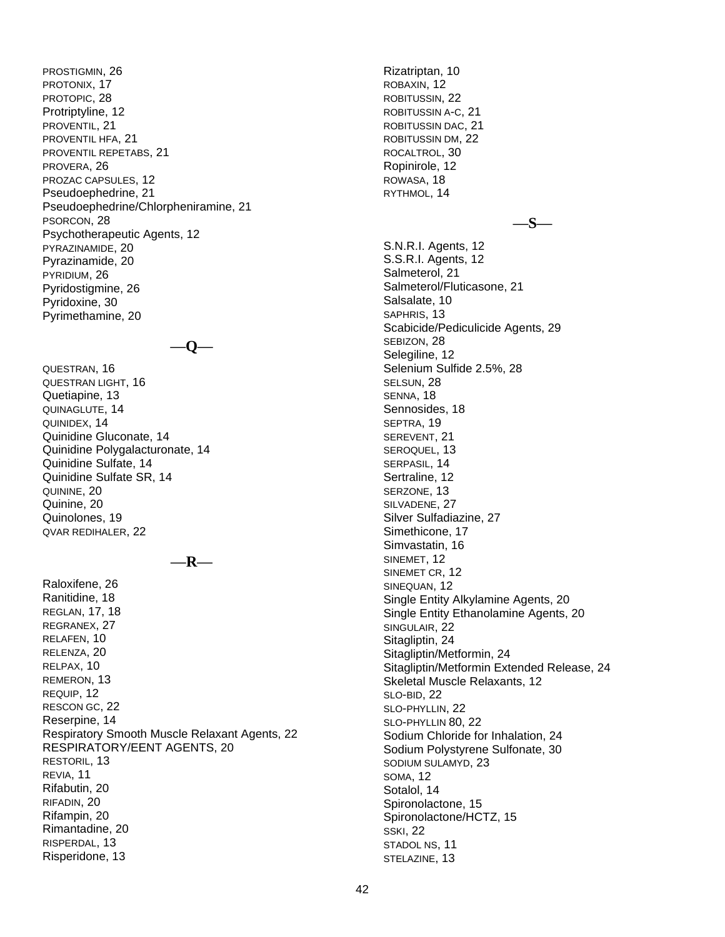PROSTIGMIN, 26 PROTONIX, 17 PROTOPIC, 28 Protriptyline, 12 PROVENTIL, 21 PROVENTIL HFA, 21 PROVENTIL REPETABS, 21 PROVERA, 26 PROZAC CAPSULES, 12 Pseudoephedrine, 21 Pseudoephedrine/Chlorpheniramine, 21 PSORCON, 28 Psychotherapeutic Agents, 12 PYRAZINAMIDE, 20 Pyrazinamide, 20 PYRIDIUM, 26 Pyridostigmine, 26 Pyridoxine, 30 Pyrimethamine, 20

**—Q—**

QUESTRAN, 16 QUESTRAN LIGHT, 16 Quetiapine, 13 QUINAGLUTE, 14 QUINIDEX, 14 Quinidine Gluconate, 14 Quinidine Polygalacturonate, 14 Quinidine Sulfate, 14 Quinidine Sulfate SR, 14 QUININE, 20 Quinine, 20 Quinolones, 19 QVAR REDIHALER, 22

**—R—**

Raloxifene, 26 Ranitidine, 18 REGLAN, 17, 18 REGRANEX, 27 RELAFEN, 10 RELENZA, 20 RELPAX, 10 REMERON, 13 REQUIP, 12 RESCON GC, 22 Reserpine, 14 Respiratory Smooth Muscle Relaxant Agents, 22 RESPIRATORY/EENT AGENTS, 20 RESTORIL, 13 REVIA, 11 Rifabutin, 20 RIFADIN, 20 Rifampin, 20 Rimantadine, 20 RISPERDAL, 13 Risperidone, 13

Rizatriptan, 10 ROBAXIN, 12 ROBITUSSIN, 22 ROBITUSSIN A-C, 21 ROBITUSSIN DAC, 21 ROBITUSSIN DM, 22 ROCALTROL, 30 Ropinirole, 12 ROWASA, 18 RYTHMOL, 14

**—S—**

S.N.R.I. Agents, 12 S.S.R.I. Agents, 12 Salmeterol, 21 Salmeterol/Fluticasone, 21 Salsalate, 10 SAPHRIS, 13 Scabicide/Pediculicide Agents, 29 SEBIZON, 28 Selegiline, 12 Selenium Sulfide 2.5%, 28 SELSUN, 28 SENNA, 18 Sennosides, 18 SEPTRA, 19 SEREVENT, 21 SEROQUEL, 13 SERPASIL, 14 Sertraline, 12 SERZONE, 13 SILVADENE, 27 Silver Sulfadiazine, 27 Simethicone, 17 Simvastatin, 16 SINEMET, 12 SINEMET CR, 12 SINEQUAN, 12 Single Entity Alkylamine Agents, 20 Single Entity Ethanolamine Agents, 20 SINGULAIR, 22 Sitagliptin, 24 Sitagliptin/Metformin, 24 Sitagliptin/Metformin Extended Release, 24 Skeletal Muscle Relaxants, 12 SLO-BID, 22 SLO-PHYLLIN, 22 SLO-PHYLLIN 80, 22 Sodium Chloride for Inhalation, 24 Sodium Polystyrene Sulfonate, 30 SODIUM SULAMYD, 23 SOMA, 12 Sotalol, 14 Spironolactone, 15 Spironolactone/HCTZ, 15 SSKI, 22 STADOL NS, 11 STELAZINE, 13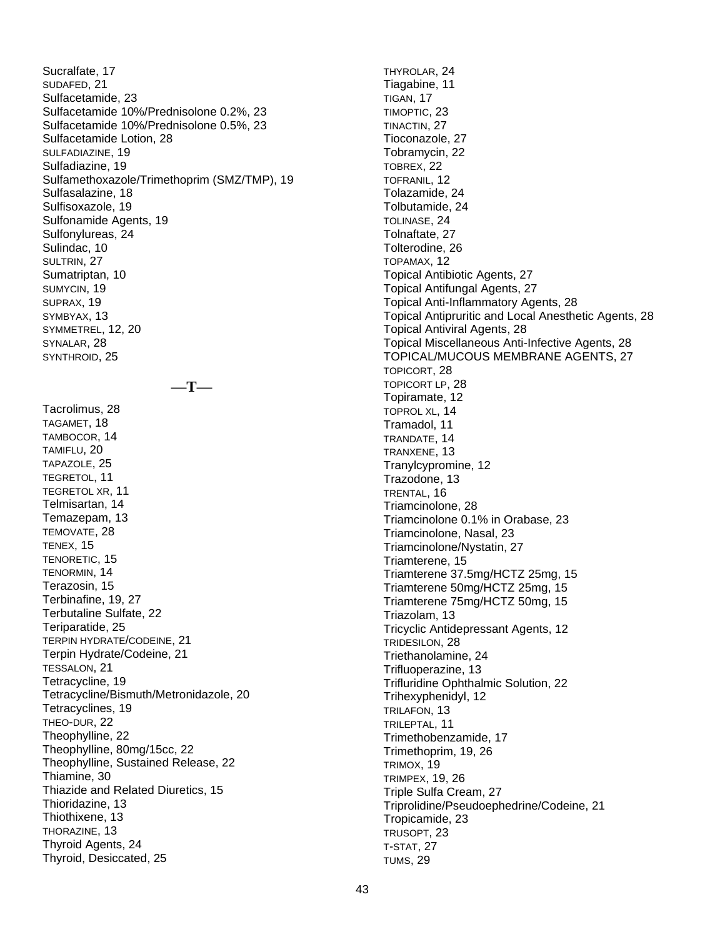Sucralfate, 17 SUDAFED, 21 Sulfacetamide, 23 Sulfacetamide 10%/Prednisolone 0.2%, 23 Sulfacetamide 10%/Prednisolone 0.5%, 23 Sulfacetamide Lotion, 28 SULFADIAZINE, 19 Sulfadiazine, 19 Sulfamethoxazole/Trimethoprim (SMZ/TMP), 19 Sulfasalazine, 18 Sulfisoxazole, 19 Sulfonamide Agents, 19 Sulfonylureas, 24 Sulindac, 10 SULTRIN, 27 Sumatriptan, 10 SUMYCIN, 19 SUPRAX, 19 SYMBYAX, 13 SYMMETREL, 12, 20 SYNALAR, 28 SYNTHROID, 25 **—T—** Tacrolimus, 28 TAGAMET, 18 TAMBOCOR, 14 TAMIFLU, 20 TAPAZOLE, 25 TEGRETOL, 11 TEGRETOL XR, 11 Telmisartan, 14 Temazepam, 13 TEMOVATE, 28 TENEX, 15 TENORETIC, 15 TENORMIN, 14 Terazosin, 15 Terbinafine, 19, 27 Terbutaline Sulfate, 22 Teriparatide, 25 TERPIN HYDRATE/CODEINE, 21 Terpin Hydrate/Codeine, 21 TESSALON, 21 Tetracycline, 19 Tetracycline/Bismuth/Metronidazole, 20 Tetracyclines, 19 THEO-DUR, 22 Theophylline, 22 Theophylline, 80mg/15cc, 22 Theophylline, Sustained Release, 22 Thiamine, 30 Thiazide and Related Diuretics, 15 Thioridazine, 13 Thiothixene, 13 THORAZINE, 13 Thyroid Agents, 24 Thyroid, Desiccated, 25

THYROLAR, 24 Tiagabine, 11 TIGAN, 17 TIMOPTIC, 23 TINACTIN, 27 Tioconazole, 27 Tobramycin, 22 TOBREX, 22 TOFRANIL, 12 Tolazamide, 24 Tolbutamide, 24 TOLINASE, 24 Tolnaftate, 27 Tolterodine, 26 TOPAMAX, 12 Topical Antibiotic Agents, 27 Topical Antifungal Agents, 27 Topical Anti-Inflammatory Agents, 28 Topical Antipruritic and Local Anesthetic Agents, 28 Topical Antiviral Agents, 28 Topical Miscellaneous Anti-Infective Agents, 28 TOPICAL/MUCOUS MEMBRANE AGENTS, 27 TOPICORT, 28 TOPICORT LP, 28 Topiramate, 12 TOPROL XL, 14 Tramadol, 11 TRANDATE, 14 TRANXENE, 13 Tranylcypromine, 12 Trazodone, 13 TRENTAL, 16 Triamcinolone, 28 Triamcinolone 0.1% in Orabase, 23 Triamcinolone, Nasal, 23 Triamcinolone/Nystatin, 27 Triamterene, 15 Triamterene 37.5mg/HCTZ 25mg, 15 Triamterene 50mg/HCTZ 25mg, 15 Triamterene 75mg/HCTZ 50mg, 15 Triazolam, 13 Tricyclic Antidepressant Agents, 12 TRIDESILON, 28 Triethanolamine, 24 Trifluoperazine, 13 Trifluridine Ophthalmic Solution, 22 Trihexyphenidyl, 12 TRILAFON, 13 TRILEPTAL, 11 Trimethobenzamide, 17 Trimethoprim, 19, 26 TRIMOX, 19 TRIMPEX, 19, 26 Triple Sulfa Cream, 27 Triprolidine/Pseudoephedrine/Codeine, 21 Tropicamide, 23 TRUSOPT, 23 T-STAT, 27 TUMS, 29